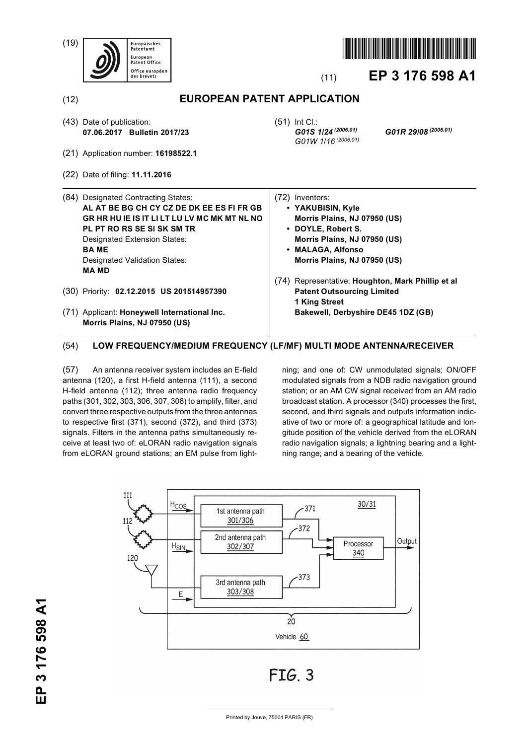(19)





# (11) **EP 3 176 598 A1**

(12) **EUROPEAN PATENT APPLICATION**

(51) Int Cl.:

(72) Inventors:

- (43) Date of publication: **07.06.2017 Bulletin 2017/23**
- (21) Application number: **16198522.1**
- (22) Date of filing: **11.11.2016**
- (84) Designated Contracting States: **AL AT BE BG CH CY CZ DE DK EE ES FI FR GB GR HR HU IE IS IT LI LT LU LV MC MK MT NL NO PL PT RO RS SE SI SK SM TR** Designated Extension States: **BA ME** Designated Validation States: **MA MD**
- (30) Priority: **02.12.2015 US 201514957390**
- (71) Applicant: **Honeywell International Inc. Morris Plains, NJ 07950 (US)**

*G01W 1/16 (2006.01)*

**• YAKUBISIN, Kyle**

*G01S 1/24 (2006.01) G01R 29/08 (2006.01)*

- **Morris Plains, NJ 07950 (US) • DOYLE, Robert S. Morris Plains, NJ 07950 (US) • MALAGA, Alfonso Morris Plains, NJ 07950 (US)** (74) Representative: **Houghton, Mark Phillip et al Patent Outsourcing Limited 1 King Street**
	- **Bakewell, Derbyshire DE45 1DZ (GB)**

# (54) **LOW FREQUENCY/MEDIUM FREQUENCY (LF/MF) MULTI MODE ANTENNA/RECEIVER**

(57) An antenna receiver system includes an E-field antenna (120), a first H-field antenna (111), a second H-field antenna (112); three antenna radio frequency paths (301, 302, 303, 306, 307, 308) to amplify, filter, and convert three respective outputs from the three antennas to respective first (371), second (372), and third (373) signals. Filters in the antenna paths simultaneously receive at least two of: eLORAN radio navigation signals from eLORAN ground stations; an EM pulse from lightning; and one of: CW unmodulated signals; ON/OFF modulated signals from a NDB radio navigation ground station; or an AM CW signal received from an AM radio broadcast station. A processor (340) processes the first, second, and third signals and outputs information indicative of two or more of: a geographical latitude and longitude position of the vehicle derived from the eLORAN radio navigation signals; a lightning bearing and a lightning range; and a bearing of the vehicle.

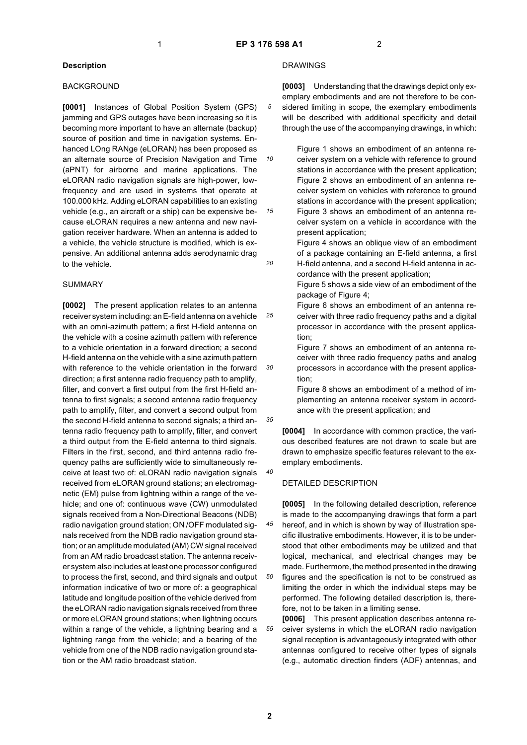*10*

*15*

*20*

*25*

*30*

*35*

*40*

#### **Description**

#### **BACKGROUND**

**[0001]** Instances of Global Position System (GPS) jamming and GPS outages have been increasing so it is becoming more important to have an alternate (backup) source of position and time in navigation systems. Enhanced LOng RANge (eLORAN) has been proposed as an alternate source of Precision Navigation and Time (aPNT) for airborne and marine applications. The eLORAN radio navigation signals are high-power, lowfrequency and are used in systems that operate at 100.000 kHz. Adding eLORAN capabilities to an existing vehicle (e.g., an aircraft or a ship) can be expensive because eLORAN requires a new antenna and new navigation receiver hardware. When an antenna is added to a vehicle, the vehicle structure is modified, which is expensive. An additional antenna adds aerodynamic drag to the vehicle.

#### SUMMARY

**[0002]** The present application relates to an antenna receiver system including: an E-field antenna on a vehicle with an omni-azimuth pattern; a first H-field antenna on the vehicle with a cosine azimuth pattern with reference to a vehicle orientation in a forward direction; a second H-field antenna on the vehicle with a sine azimuth pattern with reference to the vehicle orientation in the forward direction; a first antenna radio frequency path to amplify, filter, and convert a first output from the first H-field antenna to first signals; a second antenna radio frequency path to amplify, filter, and convert a second output from the second H-field antenna to second signals; a third antenna radio frequency path to amplify, filter, and convert a third output from the E-field antenna to third signals. Filters in the first, second, and third antenna radio frequency paths are sufficiently wide to simultaneously receive at least two of: eLORAN radio navigation signals received from eLORAN ground stations; an electromagnetic (EM) pulse from lightning within a range of the vehicle; and one of: continuous wave (CW) unmodulated signals received from a Non-Directional Beacons (NDB) radio navigation ground station; ON /OFF modulated signals received from the NDB radio navigation ground station; or an amplitude modulated (AM) CW signal received from an AM radio broadcast station. The antenna receiver system also includes at least one processor configured to process the first, second, and third signals and output information indicative of two or more of: a geographical latitude and longitude position of the vehicle derived from the eLORAN radio navigation signals received from three or more eLORAN ground stations; when lightning occurs within a range of the vehicle, a lightning bearing and a lightning range from the vehicle; and a bearing of the vehicle from one of the NDB radio navigation ground station or the AM radio broadcast station.

### DRAWINGS

**[0003]** Understanding that the drawings depict only exemplary embodiments and are not therefore to be considered limiting in scope, the exemplary embodiments will be described with additional specificity and detail through the use of the accompanying drawings, in which:

Figure 1 shows an embodiment of an antenna receiver system on a vehicle with reference to ground stations in accordance with the present application; Figure 2 shows an embodiment of an antenna receiver system on vehicles with reference to ground stations in accordance with the present application; Figure 3 shows an embodiment of an antenna re-

ceiver system on a vehicle in accordance with the present application;

Figure 4 shows an oblique view of an embodiment of a package containing an E-field antenna, a first H-field antenna, and a second H-field antenna in accordance with the present application;

Figure 5 shows a side view of an embodiment of the package of Figure 4;

Figure 6 shows an embodiment of an antenna receiver with three radio frequency paths and a digital processor in accordance with the present application;

Figure 7 shows an embodiment of an antenna receiver with three radio frequency paths and analog processors in accordance with the present application;

Figure 8 shows an embodiment of a method of implementing an antenna receiver system in accordance with the present application; and

**[0004]** In accordance with common practice, the various described features are not drawn to scale but are drawn to emphasize specific features relevant to the exemplary embodiments.

#### DETAILED DESCRIPTION

*45 50* **[0005]** In the following detailed description, reference is made to the accompanying drawings that form a part hereof, and in which is shown by way of illustration specific illustrative embodiments. However, it is to be understood that other embodiments may be utilized and that logical, mechanical, and electrical changes may be made. Furthermore, the method presented in the drawing figures and the specification is not to be construed as limiting the order in which the individual steps may be performed. The following detailed description is, there-

*55* **[0006]** This present application describes antenna receiver systems in which the eLORAN radio navigation signal reception is advantageously integrated with other antennas configured to receive other types of signals (e.g., automatic direction finders (ADF) antennas, and

fore, not to be taken in a limiting sense.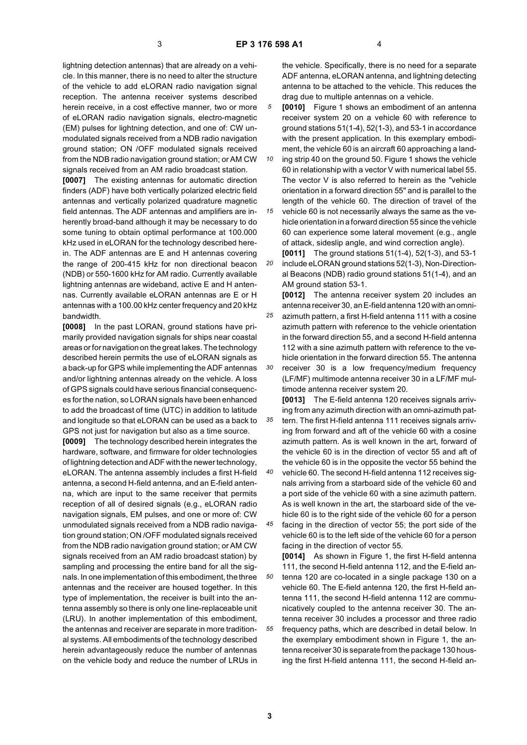lightning detection antennas) that are already on a vehicle. In this manner, there is no need to alter the structure of the vehicle to add eLORAN radio navigation signal reception. The antenna receiver systems described herein receive, in a cost effective manner, two or more of eLORAN radio navigation signals, electro-magnetic (EM) pulses for lightning detection, and one of: CW unmodulated signals received from a NDB radio navigation ground station; ON /OFF modulated signals received from the NDB radio navigation ground station; or AM CW signals received from an AM radio broadcast station.

**[0007]** The existing antennas for automatic direction finders (ADF) have both vertically polarized electric field antennas and vertically polarized quadrature magnetic field antennas. The ADF antennas and amplifiers are inherently broad-band although it may be necessary to do some tuning to obtain optimal performance at 100.000 kHz used in eLORAN for the technology described herein. The ADF antennas are E and H antennas covering the range of 200-415 kHz for non directional beacon (NDB) or 550-1600 kHz for AM radio. Currently available lightning antennas are wideband, active E and H antennas. Currently available eLORAN antennas are E or H antennas with a 100.00 kHz center frequency and 20 kHz bandwidth.

**[0008]** In the past LORAN, ground stations have primarily provided navigation signals for ships near coastal areas or for navigation on the great lakes. The technology described herein permits the use of eLORAN signals as a back-up for GPS while implementing the ADF antennas and/or lightning antennas already on the vehicle. A loss of GPS signals could have serious financial consequences for the nation, so LORAN signals have been enhanced to add the broadcast of time (UTC) in addition to latitude and longitude so that eLORAN can be used as a back to GPS not just for navigation but also as a time source.

**[0009]** The technology described herein integrates the hardware, software, and firmware for older technologies of lightning detection and ADF with the newer technology, eLORAN. The antenna assembly includes a first H-field antenna, a second H-field antenna, and an E-field antenna, which are input to the same receiver that permits reception of all of desired signals (e.g., eLORAN radio navigation signals, EM pulses, and one or more of: CW unmodulated signals received from a NDB radio navigation ground station; ON /OFF modulated signals received from the NDB radio navigation ground station; or AM CW signals received from an AM radio broadcast station) by sampling and processing the entire band for all the signals. In one implementation of this embodiment, the three antennas and the receiver are housed together. In this type of implementation, the receiver is built into the antenna assembly so there is only one line-replaceable unit (LRU). In another implementation of this embodiment, the antennas and receiver are separate in more traditional systems. All embodiments of the technology described herein advantageously reduce the number of antennas on the vehicle body and reduce the number of LRUs in

the vehicle. Specifically, there is no need for a separate ADF antenna, eLORAN antenna, and lightning detecting antenna to be attached to the vehicle. This reduces the drag due to multiple antennas on a vehicle.

*5* **[0010]** Figure 1 shows an embodiment of an antenna receiver system 20 on a vehicle 60 with reference to ground stations 51(1-4), 52(1-3), and 53-1 in accordance with the present application. In this exemplary embodiment, the vehicle 60 is an aircraft 60 approaching a land-

*10 15* ing strip 40 on the ground 50. Figure 1 shows the vehicle 60 in relationship with a vector V with numerical label 55. The vector V is also referred to herein as the "vehicle orientation in a forward direction 55" and is parallel to the length of the vehicle 60. The direction of travel of the vehicle 60 is not necessarily always the same as the ve-

hicle orientation in a forward direction 55 since the vehicle 60 can experience some lateral movement (e.g., angle of attack, sideslip angle, and wind correction angle).

*20* **[0011]** The ground stations 51(1-4), 52(1-3), and 53-1 include eLORAN ground stations 52(1-3), Non-Directional Beacons (NDB) radio ground stations 51(1-4), and an AM ground station 53-1.

*25 30* **[0012]** The antenna receiver system 20 includes an antenna receiver 30, an E-field antenna 120 with an omniazimuth pattern, a first H-field antenna 111 with a cosine azimuth pattern with reference to the vehicle orientation in the forward direction 55, and a second H-field antenna 112 with a sine azimuth pattern with reference to the vehicle orientation in the forward direction 55. The antenna receiver 30 is a low frequency/medium frequency (LF/MF) multimode antenna receiver 30 in a LF/MF mul-

*35* timode antenna receiver system 20. **[0013]** The E-field antenna 120 receives signals arriving from any azimuth direction with an omni-azimuth pattern. The first H-field antenna 111 receives signals arriving from forward and aft of the vehicle 60 with a cosine azimuth pattern. As is well known in the art, forward of the vehicle 60 is in the direction of vector 55 and aft of the vehicle 60 is in the opposite the vector 55 behind the

*40* vehicle 60. The second H-field antenna 112 receives signals arriving from a starboard side of the vehicle 60 and a port side of the vehicle 60 with a sine azimuth pattern. As is well known in the art, the starboard side of the vehicle 60 is to the right side of the vehicle 60 for a person

*45* facing in the direction of vector 55; the port side of the vehicle 60 is to the left side of the vehicle 60 for a person facing in the direction of vector 55.

*50 55* **[0014]** As shown in Figure 1, the first H-field antenna 111, the second H-field antenna 112, and the E-field antenna 120 are co-located in a single package 130 on a vehicle 60. The E-field antenna 120, the first H-field antenna 111, the second H-field antenna 112 are communicatively coupled to the antenna receiver 30. The antenna receiver 30 includes a processor and three radio frequency paths, which are described in detail below. In the exemplary embodiment shown in Figure 1, the antenna receiver 30 is separate from the package 130 housing the first H-field antenna 111, the second H-field an-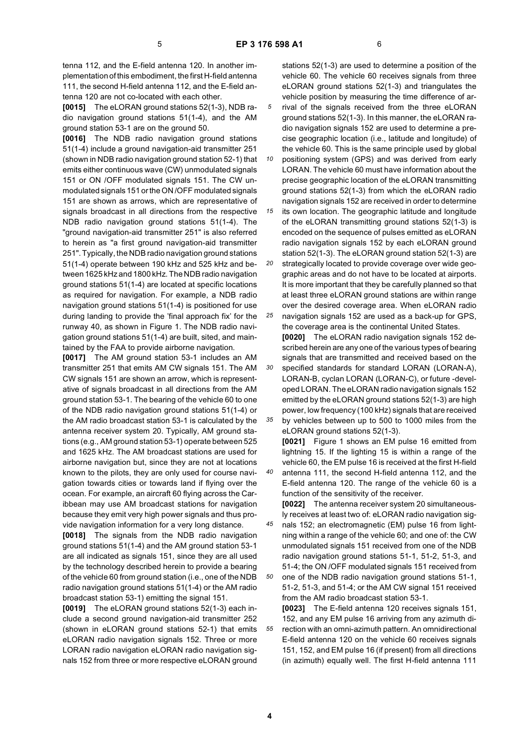**[0015]** The eLORAN ground stations 52(1-3), NDB radio navigation ground stations 51(1-4), and the AM ground station 53-1 are on the ground 50.

**[0016]** The NDB radio navigation ground stations 51(1-4) include a ground navigation-aid transmitter 251 (shown in NDB radio navigation ground station 52-1) that emits either continuous wave (CW) unmodulated signals 151 or ON /OFF modulated signals 151. The CW unmodulated signals 151 or the ON /OFF modulated signals 151 are shown as arrows, which are representative of signals broadcast in all directions from the respective NDB radio navigation ground stations 51(1-4). The "ground navigation-aid transmitter 251" is also referred to herein as "a first ground navigation-aid transmitter 251". Typically, the NDB radio navigation ground stations 51(1-4) operate between 190 kHz and 525 kHz and between 1625 kHz and 1800 kHz. The NDB radio navigation ground stations 51(1-4) are located at specific locations as required for navigation. For example, a NDB radio navigation ground stations 51(1-4) is positioned for use during landing to provide the 'final approach fix' for the runway 40, as shown in Figure 1. The NDB radio navigation ground stations 51(1-4) are built, sited, and maintained by the FAA to provide airborne navigation.

**[0017]** The AM ground station 53-1 includes an AM transmitter 251 that emits AM CW signals 151. The AM CW signals 151 are shown an arrow, which is representative of signals broadcast in all directions from the AM ground station 53-1. The bearing of the vehicle 60 to one of the NDB radio navigation ground stations 51(1-4) or the AM radio broadcast station 53-1 is calculated by the antenna receiver system 20. Typically, AM ground stations (e.g., AM ground station 53-1) operate between 525 and 1625 kHz. The AM broadcast stations are used for airborne navigation but, since they are not at locations known to the pilots, they are only used for course navigation towards cities or towards land if flying over the ocean. For example, an aircraft 60 flying across the Caribbean may use AM broadcast stations for navigation because they emit very high power signals and thus provide navigation information for a very long distance.

**[0018]** The signals from the NDB radio navigation ground stations 51(1-4) and the AM ground station 53-1 are all indicated as signals 151, since they are all used by the technology described herein to provide a bearing of the vehicle 60 from ground station (i.e., one of the NDB radio navigation ground stations 51(1-4) or the AM radio broadcast station 53-1) emitting the signal 151.

**[0019]** The eLORAN ground stations 52(1-3) each include a second ground navigation-aid transmitter 252 (shown in eLORAN ground stations 52-1) that emits eLORAN radio navigation signals 152. Three or more LORAN radio navigation eLORAN radio navigation signals 152 from three or more respective eLORAN ground

stations 52(1-3) are used to determine a position of the vehicle 60. The vehicle 60 receives signals from three eLORAN ground stations 52(1-3) and triangulates the vehicle position by measuring the time difference of arrival of the signals received from the three eLORAN ground stations 52(1-3). In this manner, the eLORAN radio navigation signals 152 are used to determine a precise geographic location (i.e., latitude and longitude) of the vehicle 60. This is the same principle used by global

*10 15* positioning system (GPS) and was derived from early LORAN. The vehicle 60 must have information about the precise geographic location of the eLORAN transmitting ground stations 52(1-3) from which the eLORAN radio navigation signals 152 are received in order to determine its own location. The geographic latitude and longitude

*20* of the eLORAN transmitting ground stations 52(1-3) is encoded on the sequence of pulses emitted as eLORAN radio navigation signals 152 by each eLORAN ground station 52(1-3). The eLORAN ground station 52(1-3) are strategically located to provide coverage over wide geo-

*25* graphic areas and do not have to be located at airports. It is more important that they be carefully planned so that at least three eLORAN ground stations are within range over the desired coverage area. When eLORAN radio navigation signals 152 are used as a back-up for GPS,

*30 35* the coverage area is the continental United States. **[0020]** The eLORAN radio navigation signals 152 described herein are any one of the various types of bearing signals that are transmitted and received based on the specified standards for standard LORAN (LORAN-A), LORAN-B, cyclan LORAN (LORAN-C), or future -developed LORAN. The eLORAN radio navigation signals 152 emitted by the eLORAN ground stations 52(1-3) are high power, low frequency (100 kHz) signals that are received by vehicles between up to 500 to 1000 miles from the

eLORAN ground stations 52(1-3). **[0021]** Figure 1 shows an EM pulse 16 emitted from lightning 15. If the lighting 15 is within a range of the vehicle 60, the EM pulse 16 is received at the first H-field antenna 111, the second H-field antenna 112, and the E-field antenna 120. The range of the vehicle 60 is a

function of the sensitivity of the receiver. **[0022]** The antenna receiver system 20 simultaneous-

- *45* ly receives at least two of: eLORAN radio navigation signals 152; an electromagnetic (EM) pulse 16 from lightning within a range of the vehicle 60; and one of: the CW unmodulated signals 151 received from one of the NDB radio navigation ground stations 51-1, 51-2, 51-3, and 51-4; the ON /OFF modulated signals 151 received from
- *50* one of the NDB radio navigation ground stations 51-1, 51-2, 51-3, and 51-4; or the AM CW signal 151 received from the AM radio broadcast station 53-1.

*55* **[0023]** The E-field antenna 120 receives signals 151, 152, and any EM pulse 16 arriving from any azimuth direction with an omni-azimuth pattern. An omnidirectional E-field antenna 120 on the vehicle 60 receives signals 151, 152, and EM pulse 16 (if present) from all directions (in azimuth) equally well. The first H-field antenna 111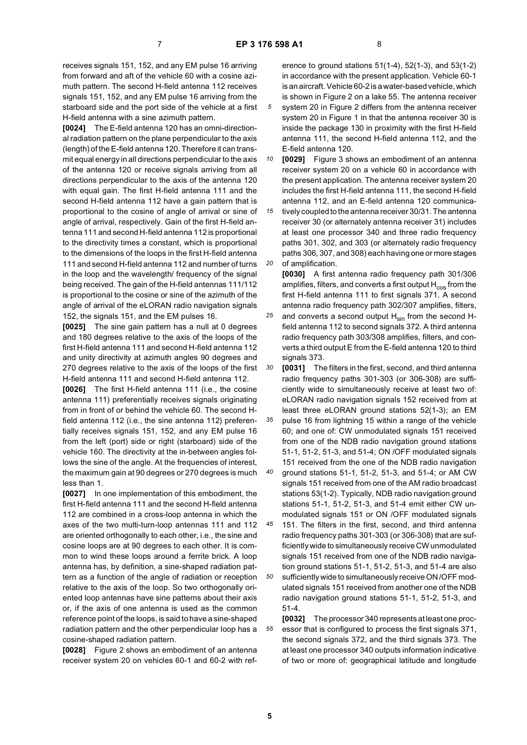receives signals 151, 152, and any EM pulse 16 arriving from forward and aft of the vehicle 60 with a cosine azimuth pattern. The second H-field antenna 112 receives signals 151, 152, and any EM pulse 16 arriving from the starboard side and the port side of the vehicle at a first H-field antenna with a sine azimuth pattern.

**[0024]** The E-field antenna 120 has an omni-directional radiation pattern on the plane perpendicular to the axis (length) of the E-field antenna 120. Therefore it can transmit equal energy in all directions perpendicular to the axis of the antenna 120 or receive signals arriving from all directions perpendicular to the axis of the antenna 120 with equal gain. The first H-field antenna 111 and the second H-field antenna 112 have a gain pattern that is proportional to the cosine of angle of arrival or sine of angle of arrival, respectively. Gain of the first H-field antenna 111 and second H-field antenna 112 is proportional to the directivity times a constant, which is proportional to the dimensions of the loops in the first H-field antenna 111 and second H-field antenna 112 and number of turns in the loop and the wavelength/ frequency of the signal being received. The gain of the H-field antennas 111/112 is proportional to the cosine or sine of the azimuth of the angle of arrival of the eLORAN radio navigation signals 152, the signals 151, and the EM pulses 16.

**[0025]** The sine gain pattern has a null at 0 degrees and 180 degrees relative to the axis of the loops of the first H-field antenna 111 and second H-field antenna 112 and unity directivity at azimuth angles 90 degrees and 270 degrees relative to the axis of the loops of the first H-field antenna 111 and second H-field antenna 112.

**[0026]** The first H-field antenna 111 (i.e., the cosine antenna 111) preferentially receives signals originating from in front of or behind the vehicle 60. The second Hfield antenna 112 (i.e., the sine antenna 112) preferentially receives signals 151, 152, and any EM pulse 16 from the left (port) side or right (starboard) side of the vehicle 160. The directivity at the in-between angles follows the sine of the angle. At the frequencies of interest, the maximum gain at 90 degrees or 270 degrees is much less than 1.

**[0027]** In one implementation of this embodiment, the first H-field antenna 111 and the second H-field antenna 112 are combined in a cross-loop antenna in which the axes of the two multi-turn-loop antennas 111 and 112 are oriented orthogonally to each other, i.e., the sine and cosine loops are at 90 degrees to each other. It is common to wind these loops around a ferrite brick. A loop antenna has, by definition, a sine-shaped radiation pattern as a function of the angle of radiation or reception relative to the axis of the loop. So two orthogonally oriented loop antennas have sine patterns about their axis or, if the axis of one antenna is used as the common reference point of the loops, is said to have a sine-shaped radiation pattern and the other perpendicular loop has a cosine-shaped radiation pattern.

**[0028]** Figure 2 shows an embodiment of an antenna receiver system 20 on vehicles 60-1 and 60-2 with ref-

erence to ground stations 51(1-4), 52(1-3), and 53(1-2) in accordance with the present application. Vehicle 60-1 is an aircraft. Vehicle 60-2 is a water-based vehicle, which is shown in Figure 2 on a lake 55. The antenna receiver system 20 in Figure 2 differs from the antenna receiver system 20 in Figure 1 in that the antenna receiver 30 is inside the package 130 in proximity with the first H-field antenna 111, the second H-field antenna 112, and the E-field antenna 120.

*10* **[0029]** Figure 3 shows an embodiment of an antenna receiver system 20 on a vehicle 60 in accordance with the present application. The antenna receiver system 20 includes the first H-field antenna 111, the second H-field antenna 112, and an E-field antenna 120 communica-

*15 20* tively coupled to the antenna receiver 30/31. The antenna receiver 30 (or alternately antenna receiver 31) includes at least one processor 340 and three radio frequency paths 301, 302, and 303 (or alternately radio frequency paths 306, 307, and 308) each having one or more stages of amplification.

*25* **[0030]** A first antenna radio frequency path 301/306 amplifies, filters, and converts a first output  $H_{cos}$  from the first H-field antenna 111 to first signals 371. A second antenna radio frequency path 302/307 amplifies, filters, and converts a second output  $H_{sin}$  from the second Hfield antenna 112 to second signals 372. A third antenna radio frequency path 303/308 amplifies, filters, and converts a third output E from the E-field antenna 120 to third signals 373.

*30 35* **[0031]** The filters in the first, second, and third antenna radio frequency paths 301-303 (or 306-308) are sufficiently wide to simultaneously receive at least two of: eLORAN radio navigation signals 152 received from at least three eLORAN ground stations 52(1-3); an EM pulse 16 from lightning 15 within a range of the vehicle 60; and one of: CW unmodulated signals 151 received from one of the NDB radio navigation ground stations

*40* 51-1, 51-2, 51-3, and 51-4; ON /OFF modulated signals 151 received from the one of the NDB radio navigation ground stations 51-1, 51-2, 51-3, and 51-4; or AM CW signals 151 received from one of the AM radio broadcast stations 53(1-2). Typically, NDB radio navigation ground

*45* stations 51-1, 51-2, 51-3, and 51-4 emit either CW unmodulated signals 151 or ON /OFF modulated signals 151. The filters in the first, second, and third antenna

*50* radio frequency paths 301-303 (or 306-308) that are sufficiently wide to simultaneously receive CW unmodulated signals 151 received from one of the NDB radio navigation ground stations 51-1, 51-2, 51-3, and 51-4 are also sufficiently wide to simultaneously receive ON /OFF modulated signals 151 received from another one of the NDB radio navigation ground stations 51-1, 51-2, 51-3, and 51-4.

**[0032]** The processor 340 represents at least one processor that is configured to process the first signals 371, the second signals 372, and the third signals 373. The at least one processor 340 outputs information indicative of two or more of: geographical latitude and longitude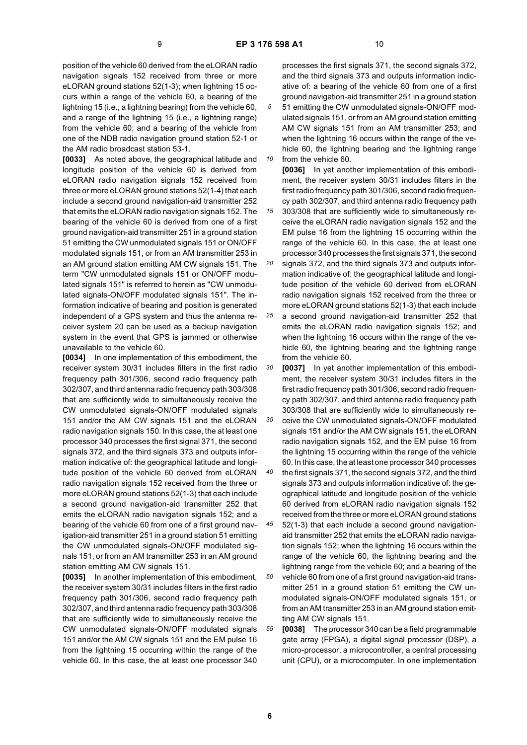position of the vehicle 60 derived from the eLORAN radio navigation signals 152 received from three or more eLORAN ground stations 52(1-3); when lightning 15 occurs within a range of the vehicle 60, a bearing of the lightning 15 (i.e., a lightning bearing) from the vehicle 60, and a range of the lightning 15 (i.e., a lightning range) from the vehicle 60; and a bearing of the vehicle from one of the NDB radio navigation ground station 52-1 or the AM radio broadcast station 53-1.

**[0033]** As noted above, the geographical latitude and longitude position of the vehicle 60 is derived from eLORAN radio navigation signals 152 received from three or more eLORAN ground stations 52(1-4) that each include a second ground navigation-aid transmitter 252 that emits the eLORAN radio navigation signals 152. The bearing of the vehicle 60 is derived from one of a first ground navigation-aid transmitter 251 in a ground station 51 emitting the CW unmodulated signals 151 or ON/OFF modulated signals 151, or from an AM transmitter 253 in an AM ground station emitting AM CW signals 151. The term "CW unmodulated signals 151 or ON/OFF modulated signals 151" is referred to herein as "CW unmodulated signals-ON/OFF modulated signals 151". The information indicative of bearing and position is generated independent of a GPS system and thus the antenna receiver system 20 can be used as a backup navigation system in the event that GPS is jammed or otherwise unavailable to the vehicle 60.

**[0034]** In one implementation of this embodiment, the receiver system 30/31 includes filters in the first radio frequency path 301/306, second radio frequency path 302/307, and third antenna radio frequency path 303/308 that are sufficiently wide to simultaneously receive the CW unmodulated signals-ON/OFF modulated signals 151 and/or the AM CW signals 151 and the eLORAN radio navigation signals 150. In this case, the at least one processor 340 processes the first signal 371, the second signals 372, and the third signals 373 and outputs information indicative of: the geographical latitude and longitude position of the vehicle 60 derived from eLORAN radio navigation signals 152 received from the three or more eLORAN ground stations 52(1-3) that each include a second ground navigation-aid transmitter 252 that emits the eLORAN radio navigation signals 152; and a bearing of the vehicle 60 from one of a first ground navigation-aid transmitter 251 in a ground station 51 emitting the CW unmodulated signals-ON/OFF modulated signals 151, or from an AM transmitter 253 in an AM ground station emitting AM CW signals 151.

**[0035]** In another implementation of this embodiment, the receiver system 30/31 includes filters in the first radio frequency path 301/306, second radio frequency path 302/307, and third antenna radio frequency path 303/308 that are sufficiently wide to simultaneously receive the CW unmodulated signals-ON/OFF modulated signals 151 and/or the AM CW signals 151 and the EM pulse 16 from the lightning 15 occurring within the range of the vehicle 60. In this case, the at least one processor 340

processes the first signals 371, the second signals 372, and the third signals 373 and outputs information indicative of: a bearing of the vehicle 60 from one of a first ground navigation-aid transmitter 251 in a ground station 51 emitting the CW unmodulated signals-ON/OFF modulated signals 151, or from an AM ground station emitting AM CW signals 151 from an AM transmitter 253; and when the lightning 16 occurs within the range of the vehicle 60, the lightning bearing and the lightning range from the vehicle 60.

*10* **[0036]** In yet another implementation of this embodiment, the receiver system 30/31 includes filters in the first radio frequency path 301/306, second radio frequency path 302/307, and third antenna radio frequency path

*15* 303/308 that are sufficiently wide to simultaneously receive the eLORAN radio navigation signals 152 and the EM pulse 16 from the lightning 15 occurring within the range of the vehicle 60. In this case, the at least one processor 340 processes the first signals 371, the second

*20* signals 372, and the third signals 373 and outputs information indicative of: the geographical latitude and longitude position of the vehicle 60 derived from eLORAN radio navigation signals 152 received from the three or more eLORAN ground stations 52(1-3) that each include

*25* a second ground navigation-aid transmitter 252 that emits the eLORAN radio navigation signals 152; and when the lightning 16 occurs within the range of the vehicle 60, the lightning bearing and the lightning range from the vehicle 60.

*30* **[0037]** In yet another implementation of this embodiment, the receiver system 30/31 includes filters in the first radio frequency path 301/306, second radio frequency path 302/307, and third antenna radio frequency path 303/308 that are sufficiently wide to simultaneously re-

*35* ceive the CW unmodulated signals-ON/OFF modulated signals 151 and/or the AM CW signals 151, the eLORAN radio navigation signals 152, and the EM pulse 16 from the lightning 15 occurring within the range of the vehicle 60. In this case, the at least one processor 340 processes

*40* the first signals 371, the second signals 372, and the third signals 373 and outputs information indicative of: the geographical latitude and longitude position of the vehicle 60 derived from eLORAN radio navigation signals 152 received from the three or more eLORAN ground stations

*45* 52(1-3) that each include a second ground navigationaid transmitter 252 that emits the eLORAN radio navigation signals 152; when the lightning 16 occurs within the range of the vehicle 60, the lightning bearing and the lightning range from the vehicle 60; and a bearing of the

*50* vehicle 60 from one of a first ground navigation-aid transmitter 251 in a ground station 51 emitting the CW unmodulated signals-ON/OFF modulated signals 151, or from an AM transmitter 253 in an AM ground station emitting AM CW signals 151.

*55* **[0038]** The processor 340 can be a field programmable gate array (FPGA), a digital signal processor (DSP), a micro-processor, a microcontroller, a central processing unit (CPU), or a microcomputer. In one implementation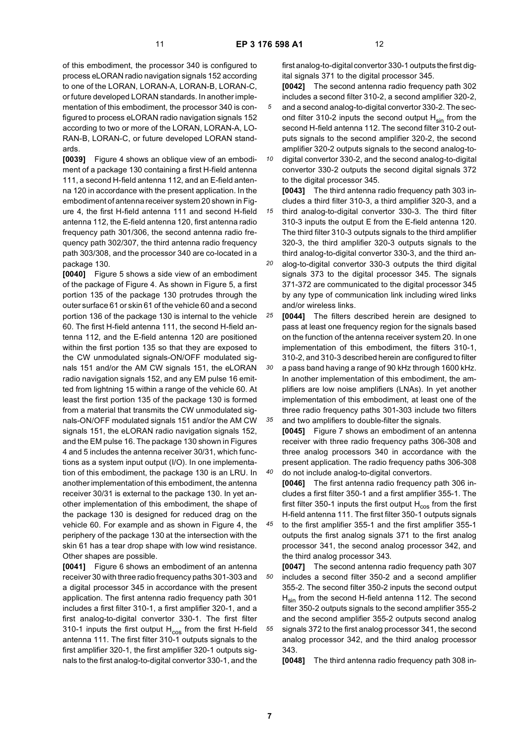of this embodiment, the processor 340 is configured to process eLORAN radio navigation signals 152 according to one of the LORAN, LORAN-A, LORAN-B, LORAN-C, or future developed LORAN standards. In another implementation of this embodiment, the processor 340 is configured to process eLORAN radio navigation signals 152 according to two or more of the LORAN, LORAN-A, LO-RAN-B, LORAN-C, or future developed LORAN standards.

**[0039]** Figure 4 shows an oblique view of an embodiment of a package 130 containing a first H-field antenna 111, a second H-field antenna 112, and an E-field antenna 120 in accordance with the present application. In the embodiment of antenna receiver system 20 shown in Figure 4, the first H-field antenna 111 and second H-field antenna 112, the E-field antenna 120, first antenna radio frequency path 301/306, the second antenna radio frequency path 302/307, the third antenna radio frequency path 303/308, and the processor 340 are co-located in a package 130.

**[0040]** Figure 5 shows a side view of an embodiment of the package of Figure 4. As shown in Figure 5, a first portion 135 of the package 130 protrudes through the outer surface 61 or skin 61 of the vehicle 60 and a second portion 136 of the package 130 is internal to the vehicle 60. The first H-field antenna 111, the second H-field antenna 112, and the E-field antenna 120 are positioned within the first portion 135 so that they are exposed to the CW unmodulated signals-ON/OFF modulated signals 151 and/or the AM CW signals 151, the eLORAN radio navigation signals 152, and any EM pulse 16 emitted from lightning 15 within a range of the vehicle 60. At least the first portion 135 of the package 130 is formed from a material that transmits the CW unmodulated signals-ON/OFF modulated signals 151 and/or the AM CW signals 151, the eLORAN radio navigation signals 152, and the EM pulse 16. The package 130 shown in Figures 4 and 5 includes the antenna receiver 30/31, which functions as a system input output (I/O). In one implementation of this embodiment, the package 130 is an LRU. In another implementation of this embodiment, the antenna receiver 30/31 is external to the package 130. In yet another implementation of this embodiment, the shape of the package 130 is designed for reduced drag on the vehicle 60. For example and as shown in Figure 4, the periphery of the package 130 at the intersection with the skin 61 has a tear drop shape with low wind resistance. Other shapes are possible.

**[0041]** Figure 6 shows an embodiment of an antenna receiver 30 with three radio frequency paths 301-303 and a digital processor 345 in accordance with the present application. The first antenna radio frequency path 301 includes a first filter 310-1, a first amplifier 320-1, and a first analog-to-digital convertor 330-1. The first filter 310-1 inputs the first output  $H_{\text{cos}}$  from the first H-field antenna 111. The first filter 310-1 outputs signals to the first amplifier 320-1, the first amplifier 320-1 outputs signals to the first analog-to-digital convertor 330-1, and the

first analog-to-digital convertor 330-1 outputs the first digital signals 371 to the digital processor 345.

- **[0042]** The second antenna radio frequency path 302 includes a second filter 310-2, a second amplifier 320-2, and a second analog-to-digital convertor 330-2. The sec-
- ond filter 310-2 inputs the second output  $H_{\text{sin}}$  from the second H-field antenna 112. The second filter 310-2 outputs signals to the second amplifier 320-2, the second amplifier 320-2 outputs signals to the second analog-to-
- *10* digital convertor 330-2, and the second analog-to-digital convertor 330-2 outputs the second digital signals 372 to the digital processor 345.

*15* **[0043]** The third antenna radio frequency path 303 includes a third filter 310-3, a third amplifier 320-3, and a third analog-to-digital convertor 330-3. The third filter 310-3 inputs the output E from the E-field antenna 120. The third filter 310-3 outputs signals to the third amplifier 320-3, the third amplifier 320-3 outputs signals to the third analog-to-digital convertor 330-3, and the third an-

- *20* alog-to-digital convertor 330-3 outputs the third digital signals 373 to the digital processor 345. The signals 371-372 are communicated to the digital processor 345 by any type of communication link including wired links and/or wireless links.
- *25* **[0044]** The filters described herein are designed to pass at least one frequency region for the signals based on the function of the antenna receiver system 20. In one implementation of this embodiment, the filters 310-1, 310-2, and 310-3 described herein are configured to filter
- *30 35* a pass band having a range of 90 kHz through 1600 kHz. In another implementation of this embodiment, the amplifiers are low noise amplifiers (LNAs). In yet another implementation of this embodiment, at least one of the three radio frequency paths 301-303 include two filters and two amplifiers to double-filter the signals.

*40* **[0045]** Figure 7 shows an embodiment of an antenna receiver with three radio frequency paths 306-308 and three analog processors 340 in accordance with the present application. The radio frequency paths 306-308 do not include analog-to-digital convertors.

**[0046]** The first antenna radio frequency path 306 includes a first filter 350-1 and a first amplifier 355-1. The first filter 350-1 inputs the first output  $H_{\text{cos}}$  from the first H-field antenna 111. The first filter 350-1 outputs signals

*45* to the first amplifier 355-1 and the first amplifier 355-1 outputs the first analog signals 371 to the first analog processor 341, the second analog processor 342, and the third analog processor 343.

*50 55* **[0047]** The second antenna radio frequency path 307 includes a second filter 350-2 and a second amplifier 355-2. The second filter 350-2 inputs the second output  $H<sub>sin</sub>$  from the second H-field antenna 112. The second filter 350-2 outputs signals to the second amplifier 355-2 and the second amplifier 355-2 outputs second analog signals 372 to the first analog processor 341, the second analog processor 342, and the third analog processor 343.

**[0048]** The third antenna radio frequency path 308 in-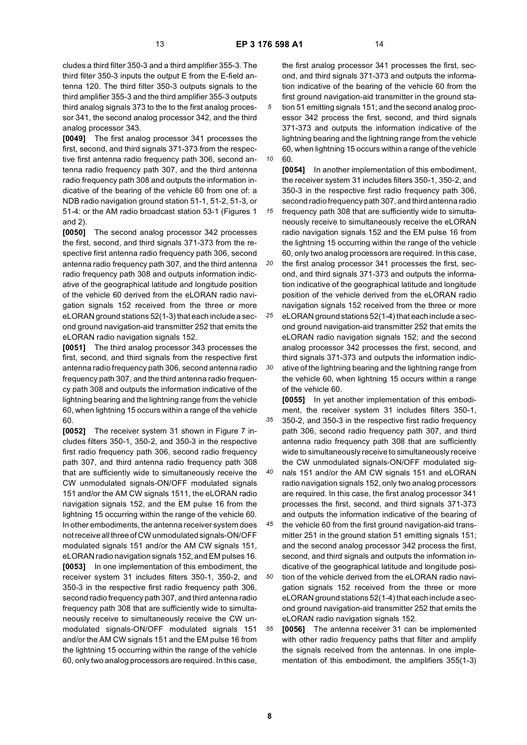*15*

cludes a third filter 350-3 and a third amplifier 355-3. The third filter 350-3 inputs the output E from the E-field antenna 120. The third filter 350-3 outputs signals to the third amplifier 355-3 and the third amplifier 355-3 outputs third analog signals 373 to the to the first analog processor 341, the second analog processor 342, and the third analog processor 343.

**[0049]** The first analog processor 341 processes the first, second, and third signals 371-373 from the respective first antenna radio frequency path 306, second antenna radio frequency path 307, and the third antenna radio frequency path 308 and outputs the information indicative of the bearing of the vehicle 60 from one of: a NDB radio navigation ground station 51-1, 51-2, 51-3, or 51-4: or the AM radio broadcast station 53-1 (Figures 1 and 2).

**[0050]** The second analog processor 342 processes the first, second, and third signals 371-373 from the respective first antenna radio frequency path 306, second antenna radio frequency path 307, and the third antenna radio frequency path 308 and outputs information indicative of the geographical latitude and longitude position of the vehicle 60 derived from the eLORAN radio navigation signals 152 received from the three or more eLORAN ground stations 52(1-3) that each include a second ground navigation-aid transmitter 252 that emits the eLORAN radio navigation signals 152.

**[0051]** The third analog processor 343 processes the first, second, and third signals from the respective first antenna radio frequency path 306, second antenna radio frequency path 307, and the third antenna radio frequency path 308 and outputs the information indicative of the lightning bearing and the lightning range from the vehicle 60, when lightning 15 occurs within a range of the vehicle 60.

**[0052]** The receiver system 31 shown in Figure 7 includes filters 350-1, 350-2, and 350-3 in the respective first radio frequency path 306, second radio frequency path 307, and third antenna radio frequency path 308 that are sufficiently wide to simultaneously receive the CW unmodulated signals-ON/OFF modulated signals 151 and/or the AM CW signals 1511, the eLORAN radio navigation signals 152, and the EM pulse 16 from the lightning 15 occurring within the range of the vehicle 60. In other embodiments, the antenna receiver system does not receive all three of CW unmodulated signals-ON/OFF modulated signals 151 and/or the AM CW signals 151, eLORAN radio navigation signals 152, and EM pulses 16. **[0053]** In one implementation of this embodiment, the receiver system 31 includes filters 350-1, 350-2, and 350-3 in the respective first radio frequency path 306, second radio frequency path 307, and third antenna radio frequency path 308 that are sufficiently wide to simultaneously receive to simultaneously receive the CW unmodulated signals-ON/OFF modulated signals 151 and/or the AM CW signals 151 and the EM pulse 16 from the lightning 15 occurring within the range of the vehicle 60, only two analog processors are required. In this case,

*10* the first analog processor 341 processes the first, second, and third signals 371-373 and outputs the information indicative of the bearing of the vehicle 60 from the first ground navigation-aid transmitter in the ground station 51 emitting signals 151; and the second analog processor 342 process the first, second, and third signals 371-373 and outputs the information indicative of the lightning bearing and the lightning range from the vehicle 60, when lightning 15 occurs within a range of the vehicle 60.

**[0054]** In another implementation of this embodiment, the receiver system 31 includes filters 350-1, 350-2, and 350-3 in the respective first radio frequency path 306, second radio frequency path 307, and third antenna radio frequency path 308 that are sufficiently wide to simultaneously receive to simultaneously receive the eLORAN radio navigation signals 152 and the EM pulse 16 from the lightning 15 occurring within the range of the vehicle 60, only two analog processors are required. In this case,

*20* the first analog processor 341 processes the first, second, and third signals 371-373 and outputs the information indicative of the geographical latitude and longitude position of the vehicle derived from the eLORAN radio navigation signals 152 received from the three or more

*25 30* eLORAN ground stations 52(1-4) that each include a second ground navigation-aid transmitter 252 that emits the eLORAN radio navigation signals 152; and the second analog processor 342 processes the first, second, and third signals 371-373 and outputs the information indicative of the lightning bearing and the lightning range from the vehicle 60, when lightning 15 occurs within a range of the vehicle 60.

**[0055]** In yet another implementation of this embodiment, the receiver system 31 includes filters 350-1,

*35 40* 350-2, and 350-3 in the respective first radio frequency path 306, second radio frequency path 307, and third antenna radio frequency path 308 that are sufficiently wide to simultaneously receive to simultaneously receive the CW unmodulated signals-ON/OFF modulated sig-

nals 151 and/or the AM CW signals 151 and eLORAN radio navigation signals 152, only two analog processors are required. In this case, the first analog processor 341 processes the first, second, and third signals 371-373 and outputs the information indicative of the bearing of

*45* the vehicle 60 from the first ground navigation-aid transmitter 251 in the ground station 51 emitting signals 151; and the second analog processor 342 process the first, second, and third signals and outputs the information indicative of the geographical latitude and longitude posi-

*50* tion of the vehicle derived from the eLORAN radio navigation signals 152 received from the three or more eLORAN ground stations 52(1-4) that each include a second ground navigation-aid transmitter 252 that emits the eLORAN radio navigation signals 152.

*55* **[0056]** The antenna receiver 31 can be implemented with other radio frequency paths that filter and amplify the signals received from the antennas. In one implementation of this embodiment, the amplifiers 355(1-3)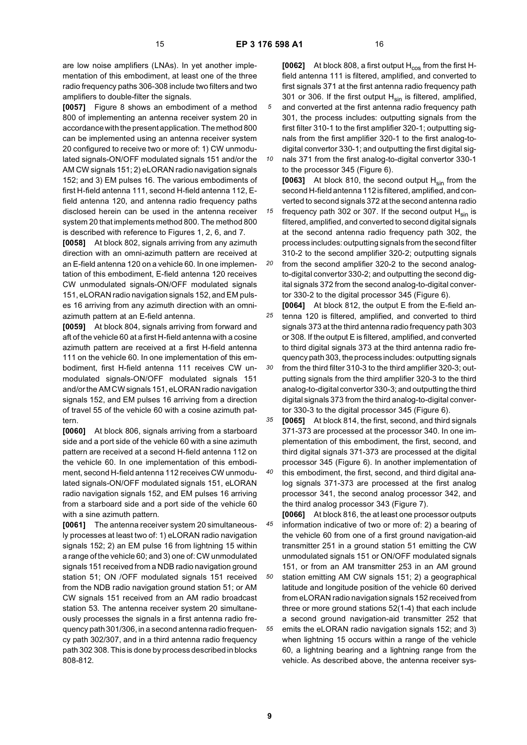*10*

are low noise amplifiers (LNAs). In yet another implementation of this embodiment, at least one of the three radio frequency paths 306-308 include two filters and two amplifiers to double-filter the signals.

**[0057]** Figure 8 shows an embodiment of a method 800 of implementing an antenna receiver system 20 in accordance with the present application. The method 800 can be implemented using an antenna receiver system 20 configured to receive two or more of: 1) CW unmodulated signals-ON/OFF modulated signals 151 and/or the AM CW signals 151; 2) eLORAN radio navigation signals 152; and 3) EM pulses 16. The various embodiments of first H-field antenna 111, second H-field antenna 112, Efield antenna 120, and antenna radio frequency paths disclosed herein can be used in the antenna receiver system 20 that implements method 800. The method 800 is described with reference to Figures 1, 2, 6, and 7.

**[0058]** At block 802, signals arriving from any azimuth direction with an omni-azimuth pattern are received at an E-field antenna 120 on a vehicle 60. In one implementation of this embodiment, E-field antenna 120 receives CW unmodulated signals-ON/OFF modulated signals 151, eLORAN radio navigation signals 152, and EM pulses 16 arriving from any azimuth direction with an omniazimuth pattern at an E-field antenna.

**[0059]** At block 804, signals arriving from forward and aft of the vehicle 60 at a first H-field antenna with a cosine azimuth pattern are received at a first H-field antenna 111 on the vehicle 60. In one implementation of this embodiment, first H-field antenna 111 receives CW unmodulated signals-ON/OFF modulated signals 151 and/or the AM CW signals 151, eLORAN radio navigation signals 152, and EM pulses 16 arriving from a direction of travel 55 of the vehicle 60 with a cosine azimuth pattern.

**[0060]** At block 806, signals arriving from a starboard side and a port side of the vehicle 60 with a sine azimuth pattern are received at a second H-field antenna 112 on the vehicle 60. In one implementation of this embodiment, second H-field antenna 112 receives CW unmodulated signals-ON/OFF modulated signals 151, eLORAN radio navigation signals 152, and EM pulses 16 arriving from a starboard side and a port side of the vehicle 60 with a sine azimuth pattern.

**[0061]** The antenna receiver system 20 simultaneously processes at least two of: 1) eLORAN radio navigation signals 152; 2) an EM pulse 16 from lightning 15 within a range of the vehicle 60; and 3) one of: CW unmodulated signals 151 received from a NDB radio navigation ground station 51; ON /OFF modulated signals 151 received from the NDB radio navigation ground station 51; or AM CW signals 151 received from an AM radio broadcast station 53. The antenna receiver system 20 simultaneously processes the signals in a first antenna radio frequency path 301/306, in a second antenna radio frequency path 302/307, and in a third antenna radio frequency path 302 308. This is done by process described in blocks 808-812.

**[0062]** At block 808, a first output H<sub>cos</sub> from the first Hfield antenna 111 is filtered, amplified, and converted to first signals 371 at the first antenna radio frequency path 301 or 306. If the first output  $H_{sin}$  is filtered, amplified, and converted at the first antenna radio frequency path 301, the process includes: outputting signals from the first filter 310-1 to the first amplifier 320-1; outputting signals from the first amplifier 320-1 to the first analog-todigital convertor 330-1; and outputting the first digital sig-

nals 371 from the first analog-to-digital convertor 330-1 to the processor 345 (Figure 6).

*15* **[0063]** At block 810, the second output H<sub>sin</sub> from the second H-field antenna 112 is filtered, amplified, and converted to second signals 372 at the second antenna radio frequency path 302 or 307. If the second output  $H_{\text{sin}}$  is filtered, amplified, and converted to second digital signals at the second antenna radio frequency path 302, the

*20* process includes: outputting signals from the second filter 310-2 to the second amplifier 320-2; outputting signals from the second amplifier 320-2 to the second analogto-digital convertor 330-2; and outputting the second digital signals 372 from the second analog-to-digital convertor 330-2 to the digital processor 345 (Figure 6).

*25 30* **[0064]** At block 812, the output E from the E-field antenna 120 is filtered, amplified, and converted to third signals 373 at the third antenna radio frequency path 303 or 308. If the output E is filtered, amplified, and converted to third digital signals 373 at the third antenna radio frequency path 303, the process includes: outputting signals from the third filter 310-3 to the third amplifier 320-3; outputting signals from the third amplifier 320-3 to the third analog-to-digital convertor 330-3; and outputting the third digital signals 373 from the third analog-to-digital convertor 330-3 to the digital processor 345 (Figure 6).

*35 40* **[0065]** At block 814, the first, second, and third signals 371-373 are processed at the processor 340. In one implementation of this embodiment, the first, second, and third digital signals 371-373 are processed at the digital processor 345 (Figure 6). In another implementation of this embodiment, the first, second, and third digital analog signals 371-373 are processed at the first analog processor 341, the second analog processor 342, and the third analog processor 343 (Figure 7).

*45 50 55* **[0066]** At block 816, the at least one processor outputs information indicative of two or more of: 2) a bearing of the vehicle 60 from one of a first ground navigation-aid transmitter 251 in a ground station 51 emitting the CW unmodulated signals 151 or ON/OFF modulated signals 151, or from an AM transmitter 253 in an AM ground station emitting AM CW signals 151; 2) a geographical latitude and longitude position of the vehicle 60 derived from eLORAN radio navigation signals 152 received from three or more ground stations 52(1-4) that each include a second ground navigation-aid transmitter 252 that emits the eLORAN radio navigation signals 152; and 3) when lightning 15 occurs within a range of the vehicle 60, a lightning bearing and a lightning range from the vehicle. As described above, the antenna receiver sys-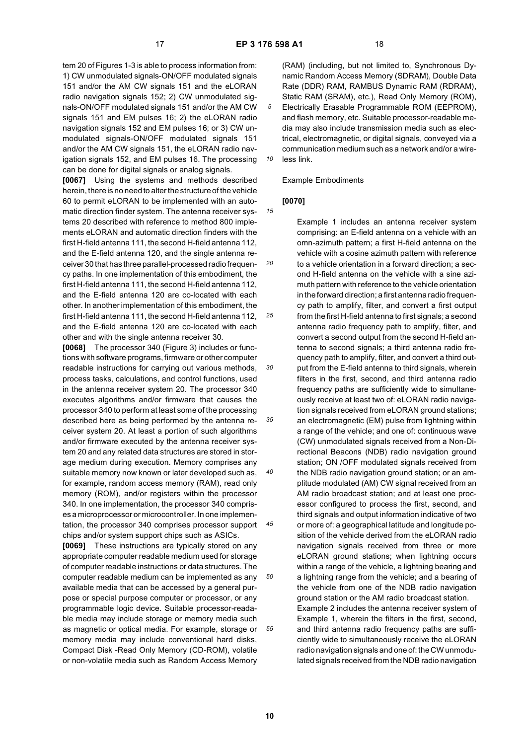*10*

*20*

*25*

*30*

*35*

*40*

*45*

*50*

*55*

tem 20 of Figures 1-3 is able to process information from: 1) CW unmodulated signals-ON/OFF modulated signals 151 and/or the AM CW signals 151 and the eLORAN radio navigation signals 152; 2) CW unmodulated signals-ON/OFF modulated signals 151 and/or the AM CW signals 151 and EM pulses 16; 2) the eLORAN radio navigation signals 152 and EM pulses 16; or 3) CW unmodulated signals-ON/OFF modulated signals 151 and/or the AM CW signals 151, the eLORAN radio navigation signals 152, and EM pulses 16. The processing can be done for digital signals or analog signals.

**[0067]** Using the systems and methods described herein, there is no need to alter the structure of the vehicle 60 to permit eLORAN to be implemented with an automatic direction finder system. The antenna receiver systems 20 described with reference to method 800 implements eLORAN and automatic direction finders with the first H-field antenna 111, the second H-field antenna 112, and the E-field antenna 120, and the single antenna receiver 30 that has three parallel-processed radio frequency paths. In one implementation of this embodiment, the first H-field antenna 111, the second H-field antenna 112, and the E-field antenna 120 are co-located with each other. In another implementation of this embodiment, the first H-field antenna 111, the second H-field antenna 112, and the E-field antenna 120 are co-located with each other and with the single antenna receiver 30.

**[0068]** The processor 340 (Figure 3) includes or functions with software programs, firmware or other computer readable instructions for carrying out various methods, process tasks, calculations, and control functions, used in the antenna receiver system 20. The processor 340 executes algorithms and/or firmware that causes the processor 340 to perform at least some of the processing described here as being performed by the antenna receiver system 20. At least a portion of such algorithms and/or firmware executed by the antenna receiver system 20 and any related data structures are stored in storage medium during execution. Memory comprises any suitable memory now known or later developed such as, for example, random access memory (RAM), read only memory (ROM), and/or registers within the processor 340. In one implementation, the processor 340 comprises a microprocessor or microcontroller. In one implementation, the processor 340 comprises processor support chips and/or system support chips such as ASICs.

**[0069]** These instructions are typically stored on any appropriate computer readable medium used for storage of computer readable instructions or data structures. The computer readable medium can be implemented as any available media that can be accessed by a general purpose or special purpose computer or processor, or any programmable logic device. Suitable processor-readable media may include storage or memory media such as magnetic or optical media. For example, storage or memory media may include conventional hard disks, Compact Disk -Read Only Memory (CD-ROM), volatile or non-volatile media such as Random Access Memory

(RAM) (including, but not limited to, Synchronous Dynamic Random Access Memory (SDRAM), Double Data Rate (DDR) RAM, RAMBUS Dynamic RAM (RDRAM), Static RAM (SRAM), etc.), Read Only Memory (ROM), Electrically Erasable Programmable ROM (EEPROM), and flash memory, etc. Suitable processor-readable media may also include transmission media such as electrical, electromagnetic, or digital signals, conveyed via a communication medium such as a network and/or a wireless link.

#### Example Embodiments

#### *15* **[0070]**

Example 1 includes an antenna receiver system comprising: an E-field antenna on a vehicle with an omn-azimuth pattern; a first H-field antenna on the vehicle with a cosine azimuth pattern with reference to a vehicle orientation in a forward direction; a second H-field antenna on the vehicle with a sine azimuth pattern with reference to the vehicle orientation in the forward direction; a first antenna radio frequency path to amplify, filter, and convert a first output from the first H-field antenna to first signals; a second antenna radio frequency path to amplify, filter, and convert a second output from the second H-field antenna to second signals; a third antenna radio frequency path to amplify, filter, and convert a third output from the E-field antenna to third signals, wherein filters in the first, second, and third antenna radio frequency paths are sufficiently wide to simultaneously receive at least two of: eLORAN radio navigation signals received from eLORAN ground stations; an electromagnetic (EM) pulse from lightning within a range of the vehicle; and one of: continuous wave (CW) unmodulated signals received from a Non-Directional Beacons (NDB) radio navigation ground station; ON /OFF modulated signals received from the NDB radio navigation ground station; or an amplitude modulated (AM) CW signal received from an AM radio broadcast station; and at least one processor configured to process the first, second, and third signals and output information indicative of two or more of: a geographical latitude and longitude position of the vehicle derived from the eLORAN radio navigation signals received from three or more eLORAN ground stations; when lightning occurs within a range of the vehicle, a lightning bearing and a lightning range from the vehicle; and a bearing of the vehicle from one of the NDB radio navigation ground station or the AM radio broadcast station. Example 2 includes the antenna receiver system of Example 1, wherein the filters in the first, second, and third antenna radio frequency paths are sufficiently wide to simultaneously receive the eLORAN radio navigation signals and one of: the CW unmodulated signals received from the NDB radio navigation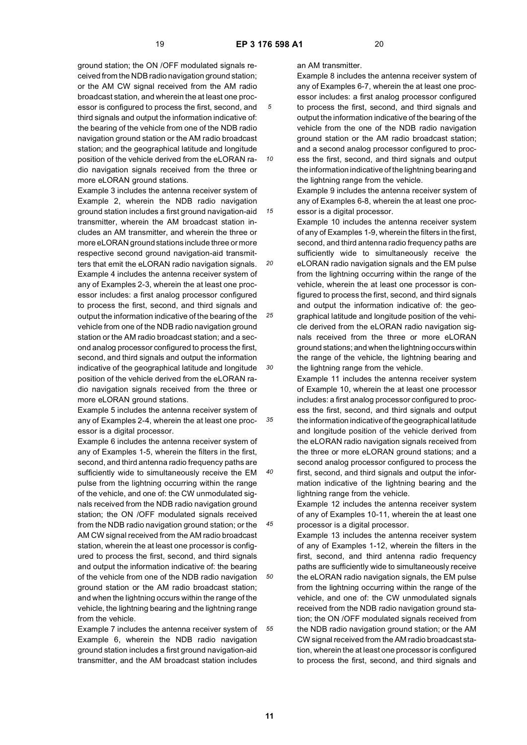*10*

*15*

ground station; the ON /OFF modulated signals received from the NDB radio navigation ground station; or the AM CW signal received from the AM radio broadcast station, and wherein the at least one processor is configured to process the first, second, and third signals and output the information indicative of: the bearing of the vehicle from one of the NDB radio navigation ground station or the AM radio broadcast station; and the geographical latitude and longitude position of the vehicle derived from the eLORAN radio navigation signals received from the three or more eLORAN ground stations.

*20 25 30* Example 3 includes the antenna receiver system of Example 2, wherein the NDB radio navigation ground station includes a first ground navigation-aid transmitter, wherein the AM broadcast station includes an AM transmitter, and wherein the three or more eLORAN ground stations include three or more respective second ground navigation-aid transmitters that emit the eLORAN radio navigation signals. Example 4 includes the antenna receiver system of any of Examples 2-3, wherein the at least one processor includes: a first analog processor configured to process the first, second, and third signals and output the information indicative of the bearing of the vehicle from one of the NDB radio navigation ground station or the AM radio broadcast station; and a second analog processor configured to process the first, second, and third signals and output the information indicative of the geographical latitude and longitude position of the vehicle derived from the eLORAN radio navigation signals received from the three or more eLORAN ground stations.

*35* Example 5 includes the antenna receiver system of any of Examples 2-4, wherein the at least one processor is a digital processor.

Example 6 includes the antenna receiver system of any of Examples 1-5, wherein the filters in the first, second, and third antenna radio frequency paths are sufficiently wide to simultaneously receive the EM pulse from the lightning occurring within the range of the vehicle, and one of: the CW unmodulated signals received from the NDB radio navigation ground station; the ON /OFF modulated signals received from the NDB radio navigation ground station; or the AM CW signal received from the AM radio broadcast station, wherein the at least one processor is configured to process the first, second, and third signals and output the information indicative of: the bearing of the vehicle from one of the NDB radio navigation ground station or the AM radio broadcast station; and when the lightning occurs within the range of the vehicle, the lightning bearing and the lightning range from the vehicle.

*55* Example 7 includes the antenna receiver system of Example 6, wherein the NDB radio navigation ground station includes a first ground navigation-aid transmitter, and the AM broadcast station includes

#### an AM transmitter.

Example 8 includes the antenna receiver system of any of Examples 6-7, wherein the at least one processor includes: a first analog processor configured to process the first, second, and third signals and output the information indicative of the bearing of the vehicle from the one of the NDB radio navigation ground station or the AM radio broadcast station; and a second analog processor configured to process the first, second, and third signals and output the information indicative of the lightning bearing and the lightning range from the vehicle.

Example 9 includes the antenna receiver system of any of Examples 6-8, wherein the at least one processor is a digital processor.

Example 10 includes the antenna receiver system of any of Examples 1-9, wherein the filters in the first, second, and third antenna radio frequency paths are sufficiently wide to simultaneously receive the eLORAN radio navigation signals and the EM pulse from the lightning occurring within the range of the vehicle, wherein the at least one processor is configured to process the first, second, and third signals and output the information indicative of: the geographical latitude and longitude position of the vehicle derived from the eLORAN radio navigation signals received from the three or more eLORAN ground stations; and when the lightning occurs within the range of the vehicle, the lightning bearing and the lightning range from the vehicle.

Example 11 includes the antenna receiver system of Example 10, wherein the at least one processor includes: a first analog processor configured to process the first, second, and third signals and output the information indicative of the geographical latitude and longitude position of the vehicle derived from the eLORAN radio navigation signals received from the three or more eLORAN ground stations; and a second analog processor configured to process the first, second, and third signals and output the information indicative of the lightning bearing and the lightning range from the vehicle.

Example 12 includes the antenna receiver system of any of Examples 10-11, wherein the at least one processor is a digital processor.

Example 13 includes the antenna receiver system of any of Examples 1-12, wherein the filters in the first, second, and third antenna radio frequency paths are sufficiently wide to simultaneously receive the eLORAN radio navigation signals, the EM pulse from the lightning occurring within the range of the vehicle, and one of: the CW unmodulated signals received from the NDB radio navigation ground station; the ON /OFF modulated signals received from the NDB radio navigation ground station; or the AM CW signal received from the AM radio broadcast station, wherein the at least one processor is configured to process the first, second, and third signals and

*40*

*45*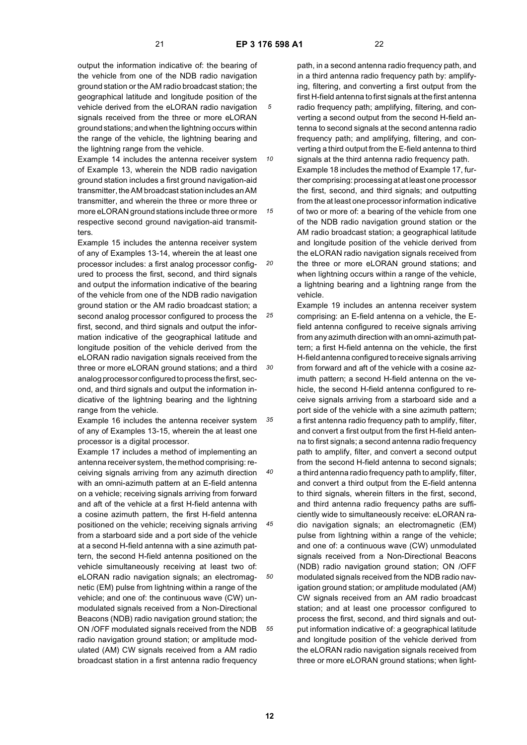*10*

*15*

output the information indicative of: the bearing of the vehicle from one of the NDB radio navigation ground station or the AM radio broadcast station; the geographical latitude and longitude position of the vehicle derived from the eLORAN radio navigation signals received from the three or more eLORAN ground stations; and when the lightning occurs within the range of the vehicle, the lightning bearing and the lightning range from the vehicle.

Example 14 includes the antenna receiver system of Example 13, wherein the NDB radio navigation ground station includes a first ground navigation-aid transmitter, the AM broadcast station includes an AM transmitter, and wherein the three or more three or more eLORAN ground stations include three or more respective second ground navigation-aid transmitters.

*20 25 30* Example 15 includes the antenna receiver system of any of Examples 13-14, wherein the at least one processor includes: a first analog processor configured to process the first, second, and third signals and output the information indicative of the bearing of the vehicle from one of the NDB radio navigation ground station or the AM radio broadcast station; a second analog processor configured to process the first, second, and third signals and output the information indicative of the geographical latitude and longitude position of the vehicle derived from the eLORAN radio navigation signals received from the three or more eLORAN ground stations; and a third analog processor configured to process the first, second, and third signals and output the information indicative of the lightning bearing and the lightning range from the vehicle.

*35* Example 16 includes the antenna receiver system of any of Examples 13-15, wherein the at least one processor is a digital processor.

Example 17 includes a method of implementing an antenna receiver system, the method comprising: receiving signals arriving from any azimuth direction with an omni-azimuth pattern at an E-field antenna on a vehicle; receiving signals arriving from forward and aft of the vehicle at a first H-field antenna with a cosine azimuth pattern, the first H-field antenna positioned on the vehicle; receiving signals arriving from a starboard side and a port side of the vehicle at a second H-field antenna with a sine azimuth pattern, the second H-field antenna positioned on the vehicle simultaneously receiving at least two of: eLORAN radio navigation signals; an electromagnetic (EM) pulse from lightning within a range of the vehicle; and one of: the continuous wave (CW) unmodulated signals received from a Non-Directional Beacons (NDB) radio navigation ground station; the ON /OFF modulated signals received from the NDB radio navigation ground station; or amplitude modulated (AM) CW signals received from a AM radio broadcast station in a first antenna radio frequency

path, in a second antenna radio frequency path, and in a third antenna radio frequency path by: amplifying, filtering, and converting a first output from the first H-field antenna to first signals at the first antenna radio frequency path; amplifying, filtering, and converting a second output from the second H-field antenna to second signals at the second antenna radio frequency path; and amplifying, filtering, and converting a third output from the E-field antenna to third signals at the third antenna radio frequency path.

Example 18 includes the method of Example 17, further comprising: processing at at least one processor the first, second, and third signals; and outputting from the at least one processor information indicative of two or more of: a bearing of the vehicle from one of the NDB radio navigation ground station or the AM radio broadcast station; a geographical latitude and longitude position of the vehicle derived from the eLORAN radio navigation signals received from the three or more eLORAN ground stations; and when lightning occurs within a range of the vehicle, a lightning bearing and a lightning range from the vehicle.

Example 19 includes an antenna receiver system comprising: an E-field antenna on a vehicle, the Efield antenna configured to receive signals arriving from any azimuth direction with an omni-azimuth pattern; a first H-field antenna on the vehicle, the first H-field antenna configured to receive signals arriving from forward and aft of the vehicle with a cosine azimuth pattern; a second H-field antenna on the vehicle, the second H-field antenna configured to receive signals arriving from a starboard side and a port side of the vehicle with a sine azimuth pattern; a first antenna radio frequency path to amplify, filter, and convert a first output from the first H-field antenna to first signals; a second antenna radio frequency path to amplify, filter, and convert a second output from the second H-field antenna to second signals; a third antenna radio frequency path to amplify, filter, and convert a third output from the E-field antenna to third signals, wherein filters in the first, second, and third antenna radio frequency paths are sufficiently wide to simultaneously receive: eLORAN radio navigation signals; an electromagnetic (EM) pulse from lightning within a range of the vehicle; and one of: a continuous wave (CW) unmodulated signals received from a Non-Directional Beacons (NDB) radio navigation ground station; ON /OFF modulated signals received from the NDB radio navigation ground station; or amplitude modulated (AM) CW signals received from an AM radio broadcast station; and at least one processor configured to process the first, second, and third signals and output information indicative of: a geographical latitude and longitude position of the vehicle derived from the eLORAN radio navigation signals received from three or more eLORAN ground stations; when light-

*40*

*45*

*50*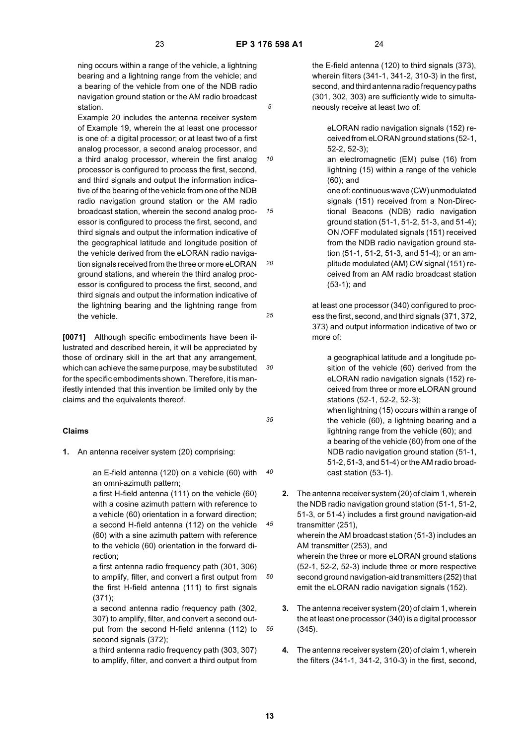ning occurs within a range of the vehicle, a lightning bearing and a lightning range from the vehicle; and a bearing of the vehicle from one of the NDB radio navigation ground station or the AM radio broadcast station.

*10 15 20 25* Example 20 includes the antenna receiver system of Example 19, wherein the at least one processor is one of: a digital processor; or at least two of a first analog processor, a second analog processor, and a third analog processor, wherein the first analog processor is configured to process the first, second, and third signals and output the information indicative of the bearing of the vehicle from one of the NDB radio navigation ground station or the AM radio broadcast station, wherein the second analog processor is configured to process the first, second, and third signals and output the information indicative of the geographical latitude and longitude position of the vehicle derived from the eLORAN radio navigation signals received from the three or more eLORAN ground stations, and wherein the third analog processor is configured to process the first, second, and third signals and output the information indicative of the lightning bearing and the lightning range from the vehicle.

**[0071]** Although specific embodiments have been illustrated and described herein, it will be appreciated by those of ordinary skill in the art that any arrangement, which can achieve the same purpose, may be substituted for the specific embodiments shown. Therefore, it is manifestly intended that this invention be limited only by the claims and the equivalents thereof.

#### **Claims**

**1.** An antenna receiver system (20) comprising:

*40* an E-field antenna (120) on a vehicle (60) with an omni-azimuth pattern;

a first H-field antenna (111) on the vehicle (60) with a cosine azimuth pattern with reference to a vehicle (60) orientation in a forward direction; a second H-field antenna (112) on the vehicle (60) with a sine azimuth pattern with reference to the vehicle (60) orientation in the forward direction;

*50* a first antenna radio frequency path (301, 306) to amplify, filter, and convert a first output from the first H-field antenna (111) to first signals (371);

a second antenna radio frequency path (302, 307) to amplify, filter, and convert a second output from the second H-field antenna (112) to second signals (372);

a third antenna radio frequency path (303, 307) to amplify, filter, and convert a third output from

the E-field antenna (120) to third signals (373), wherein filters (341-1, 341-2, 310-3) in the first, second, and third antenna radio frequency paths (301, 302, 303) are sufficiently wide to simultaneously receive at least two of:

eLORAN radio navigation signals (152) received from eLORAN ground stations (52-1, 52-2, 52-3);

an electromagnetic (EM) pulse (16) from lightning (15) within a range of the vehicle (60); and

one of: continuous wave (CW) unmodulated signals (151) received from a Non-Directional Beacons (NDB) radio navigation ground station (51-1, 51-2, 51-3, and 51-4); ON /OFF modulated signals (151) received from the NDB radio navigation ground station (51-1, 51-2, 51-3, and 51-4); or an amplitude modulated (AM) CW signal (151) received from an AM radio broadcast station (53-1); and

at least one processor (340) configured to process the first, second, and third signals (371, 372, 373) and output information indicative of two or more of:

a geographical latitude and a longitude position of the vehicle (60) derived from the eLORAN radio navigation signals (152) received from three or more eLORAN ground stations (52-1, 52-2, 52-3); when lightning (15) occurs within a range of the vehicle (60), a lightning bearing and a lightning range from the vehicle (60); and a bearing of the vehicle (60) from one of the NDB radio navigation ground station (51-1, 51-2, 51-3, and 51-4) or the AM radio broadcast station (53-1).

- **2.** The antenna receiver system (20) of claim 1, wherein the NDB radio navigation ground station (51-1, 51-2, 51-3, or 51-4) includes a first ground navigation-aid transmitter (251), wherein the AM broadcast station (51-3) includes an AM transmitter (253), and wherein the three or more eLORAN ground stations (52-1, 52-2, 52-3) include three or more respective second ground navigation-aid transmitters (252) that emit the eLORAN radio navigation signals (152).
- **3.** The antenna receiver system (20) of claim 1, wherein the at least one processor (340) is a digital processor (345).
- **4.** The antenna receiver system (20) of claim 1, wherein the filters (341-1, 341-2, 310-3) in the first, second,

*55*

*35*

*45*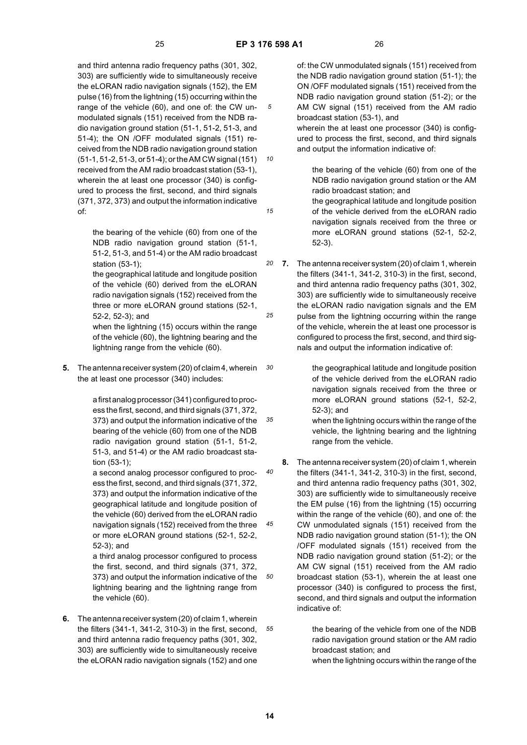*10*

*15*

and third antenna radio frequency paths (301, 302, 303) are sufficiently wide to simultaneously receive the eLORAN radio navigation signals (152), the EM pulse (16) from the lightning (15) occurring within the range of the vehicle (60), and one of: the CW unmodulated signals (151) received from the NDB radio navigation ground station (51-1, 51-2, 51-3, and 51-4); the ON /OFF modulated signals (151) received from the NDB radio navigation ground station (51-1, 51-2, 51-3, or 51-4); or the AM CW signal (151) received from the AM radio broadcast station (53-1), wherein the at least one processor (340) is configured to process the first, second, and third signals (371, 372, 373) and output the information indicative of:

the bearing of the vehicle (60) from one of the NDB radio navigation ground station (51-1, 51-2, 51-3, and 51-4) or the AM radio broadcast station (53-1);

the geographical latitude and longitude position of the vehicle (60) derived from the eLORAN radio navigation signals (152) received from the three or more eLORAN ground stations (52-1, 52-2, 52-3); and

when the lightning (15) occurs within the range of the vehicle (60), the lightning bearing and the lightning range from the vehicle (60).

*30* **5.** The antenna receiver system (20) of claim 4, wherein the at least one processor (340) includes:

> *35* a first analog processor (341) configured to process the first, second, and third signals (371, 372, 373) and output the information indicative of the bearing of the vehicle (60) from one of the NDB radio navigation ground station (51-1, 51-2, 51-3, and 51-4) or the AM radio broadcast station (53-1);

a second analog processor configured to process the first, second, and third signals (371, 372, 373) and output the information indicative of the geographical latitude and longitude position of the vehicle (60) derived from the eLORAN radio navigation signals (152) received from the three or more eLORAN ground stations (52-1, 52-2, 52-3); and

a third analog processor configured to process the first, second, and third signals (371, 372, 373) and output the information indicative of the lightning bearing and the lightning range from the vehicle (60).

*55* **6.** The antenna receiver system (20) of claim 1, wherein the filters (341-1, 341-2, 310-3) in the first, second, and third antenna radio frequency paths (301, 302, 303) are sufficiently wide to simultaneously receive the eLORAN radio navigation signals (152) and one

of: the CW unmodulated signals (151) received from the NDB radio navigation ground station (51-1); the ON /OFF modulated signals (151) received from the NDB radio navigation ground station (51-2); or the AM CW signal (151) received from the AM radio broadcast station (53-1), and

wherein the at least one processor (340) is configured to process the first, second, and third signals and output the information indicative of:

the bearing of the vehicle (60) from one of the NDB radio navigation ground station or the AM radio broadcast station; and

the geographical latitude and longitude position of the vehicle derived from the eLORAN radio navigation signals received from the three or more eLORAN ground stations (52-1, 52-2, 52-3).

*20 25* **7.** The antenna receiver system (20) of claim 1, wherein the filters (341-1, 341-2, 310-3) in the first, second, and third antenna radio frequency paths (301, 302, 303) are sufficiently wide to simultaneously receive the eLORAN radio navigation signals and the EM pulse from the lightning occurring within the range of the vehicle, wherein the at least one processor is configured to process the first, second, and third signals and output the information indicative of:

> the geographical latitude and longitude position of the vehicle derived from the eLORAN radio navigation signals received from the three or more eLORAN ground stations (52-1, 52-2, 52-3); and

when the lightning occurs within the range of the vehicle, the lightning bearing and the lightning range from the vehicle.

**8.** The antenna receiver system (20) of claim 1, wherein the filters (341-1, 341-2, 310-3) in the first, second, and third antenna radio frequency paths (301, 302, 303) are sufficiently wide to simultaneously receive the EM pulse (16) from the lightning (15) occurring within the range of the vehicle (60), and one of: the CW unmodulated signals (151) received from the NDB radio navigation ground station (51-1); the ON /OFF modulated signals (151) received from the NDB radio navigation ground station (51-2); or the AM CW signal (151) received from the AM radio broadcast station (53-1), wherein the at least one processor (340) is configured to process the first, second, and third signals and output the information indicative of:

> the bearing of the vehicle from one of the NDB radio navigation ground station or the AM radio broadcast station; and when the lightning occurs within the range of the

*40*

*45*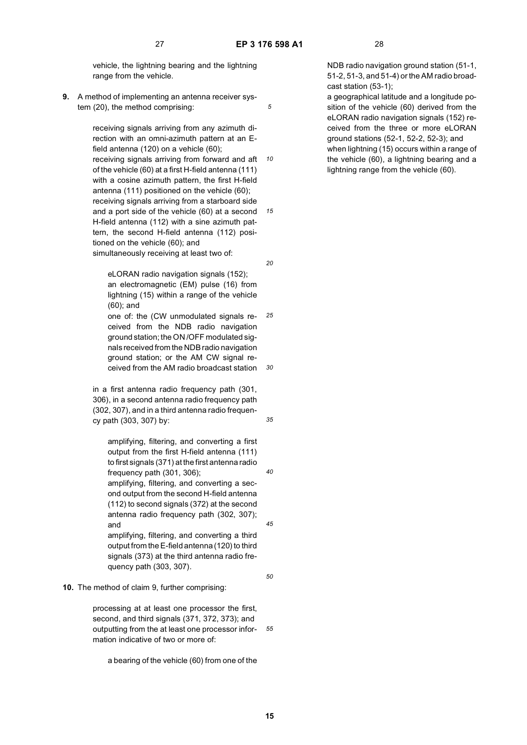vehicle, the lightning bearing and the lightning range from the vehicle.

**9.** A method of implementing an antenna receiver system (20), the method comprising:

> *10 15* receiving signals arriving from any azimuth direction with an omni-azimuth pattern at an Efield antenna (120) on a vehicle (60); receiving signals arriving from forward and aft of the vehicle (60) at a first H-field antenna (111) with a cosine azimuth pattern, the first H-field antenna (111) positioned on the vehicle (60); receiving signals arriving from a starboard side and a port side of the vehicle (60) at a second H-field antenna (112) with a sine azimuth pattern, the second H-field antenna (112) positioned on the vehicle (60); and simultaneously receiving at least two of:

eLORAN radio navigation signals (152); an electromagnetic (EM) pulse (16) from lightning (15) within a range of the vehicle (60); and

*25 30* one of: the (CW unmodulated signals received from the NDB radio navigation ground station; the ON /OFF modulated signals received from the NDB radio navigation ground station; or the AM CW signal received from the AM radio broadcast station

in a first antenna radio frequency path (301, 306), in a second antenna radio frequency path (302, 307), and in a third antenna radio frequency path (303, 307) by:

amplifying, filtering, and converting a first output from the first H-field antenna (111) to first signals (371) at the first antenna radio frequency path (301, 306);

amplifying, filtering, and converting a second output from the second H-field antenna (112) to second signals (372) at the second antenna radio frequency path (302, 307); and

amplifying, filtering, and converting a third output from the E-field antenna (120) to third signals (373) at the third antenna radio frequency path (303, 307).

#### **10.** The method of claim 9, further comprising:

*55* processing at at least one processor the first, second, and third signals (371, 372, 373); and outputting from the at least one processor information indicative of two or more of:

a bearing of the vehicle (60) from one of the

NDB radio navigation ground station (51-1, 51-2, 51-3, and 51-4) or the AM radio broadcast station (53-1);

a geographical latitude and a longitude position of the vehicle (60) derived from the eLORAN radio navigation signals (152) received from the three or more eLORAN ground stations (52-1, 52-2, 52-3); and when lightning (15) occurs within a range of the vehicle (60), a lightning bearing and a lightning range from the vehicle (60).

*20*

*35*

*40*

*45*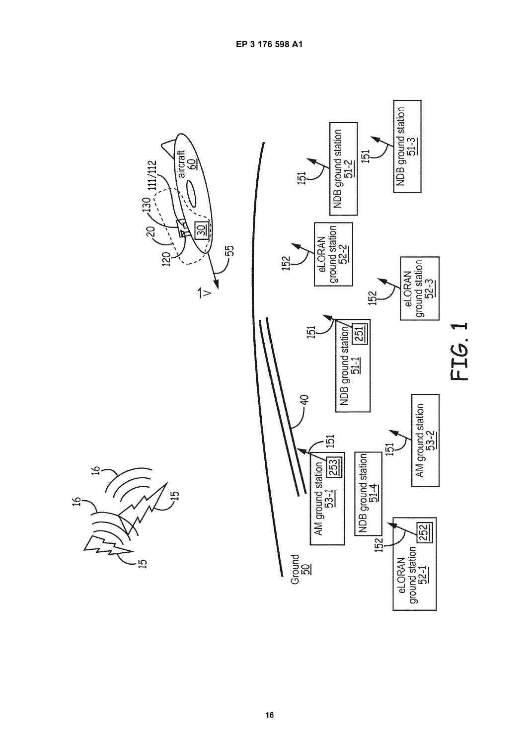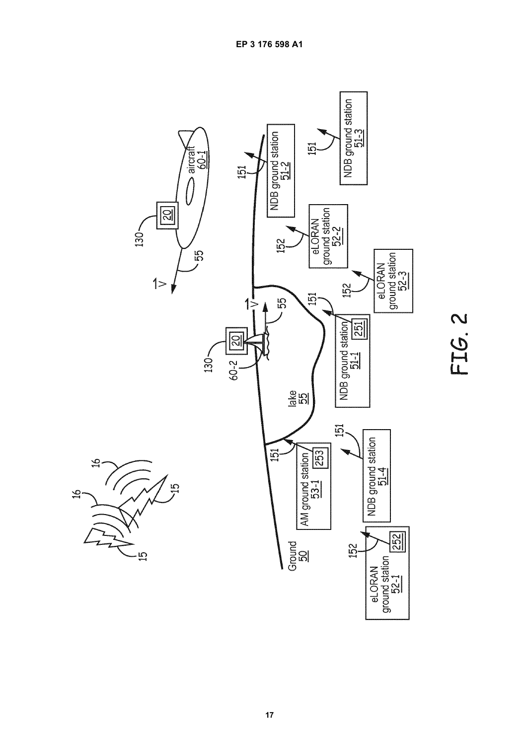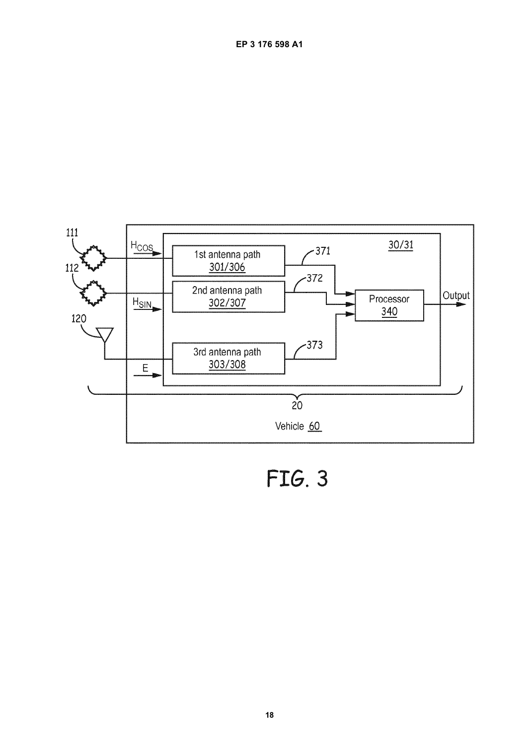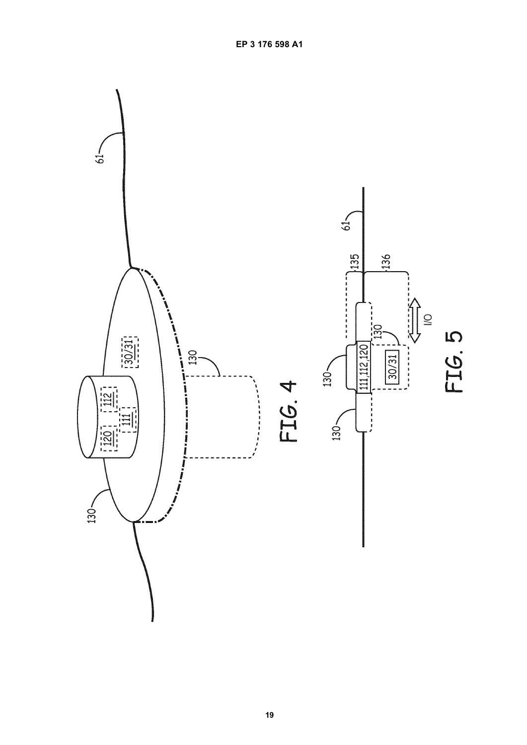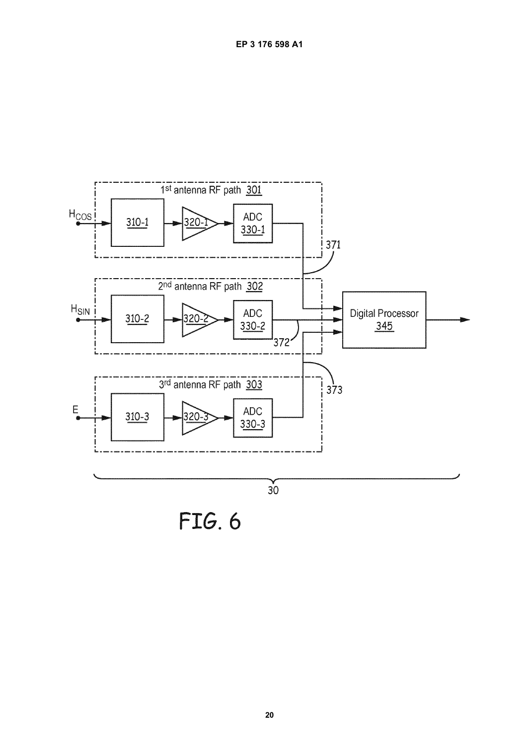

FIG. 6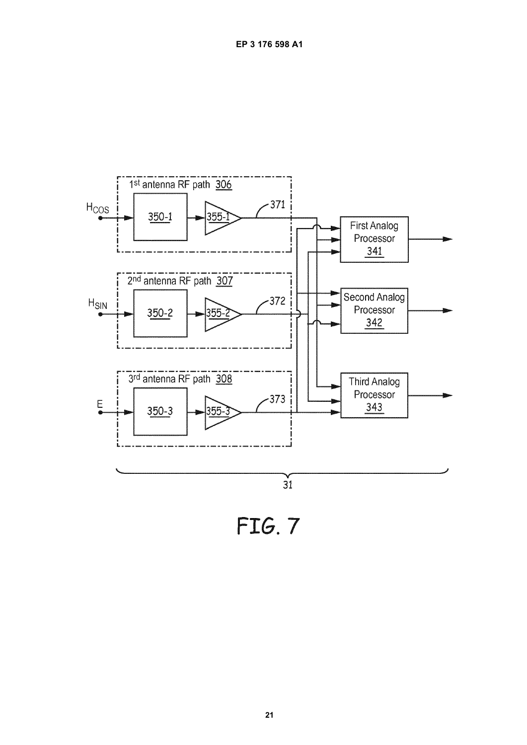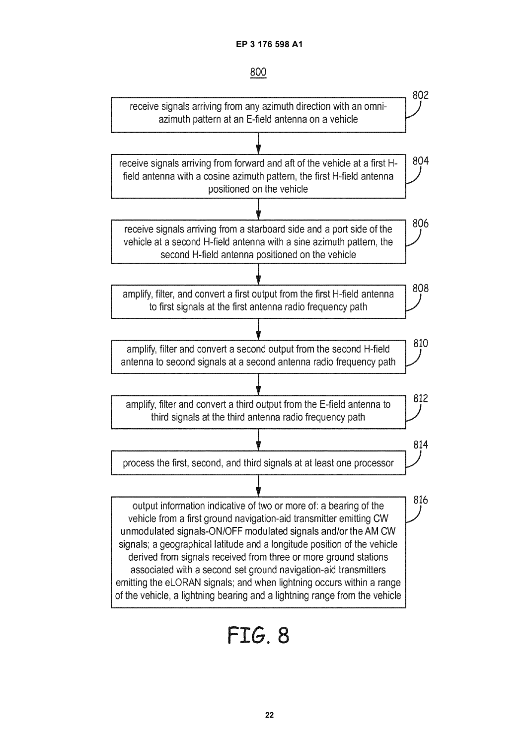

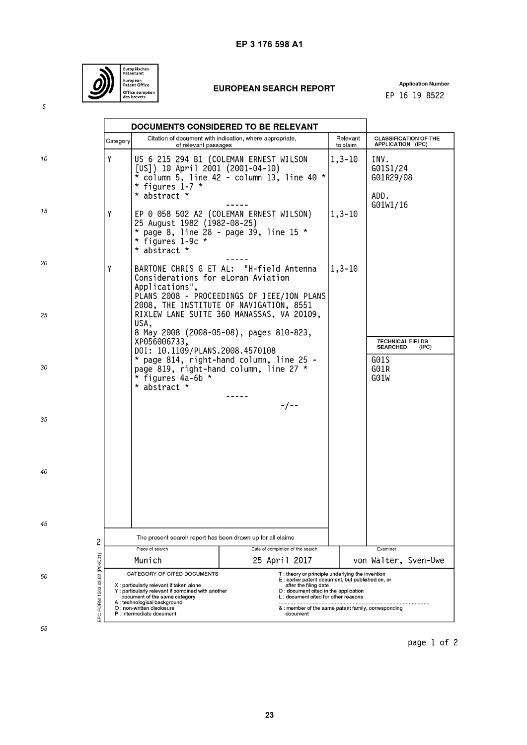

# **EUROPEAN SEARCH REPORT**

**Application Number** EP 16 19 8522

|                                    |          | DOCUMENTS CONSIDERED TO BE RELEVANT                                                                                                                                                                                                                    |                                                                                                                                                                                                                                                                                |                      |                                                     |
|------------------------------------|----------|--------------------------------------------------------------------------------------------------------------------------------------------------------------------------------------------------------------------------------------------------------|--------------------------------------------------------------------------------------------------------------------------------------------------------------------------------------------------------------------------------------------------------------------------------|----------------------|-----------------------------------------------------|
|                                    | Category | of relevant passages                                                                                                                                                                                                                                   | Citation of document with indication, where appropriate,                                                                                                                                                                                                                       | Relevant<br>to claim | <b>CLASSIFICATION OF THE</b><br>APPLICATION (IPC)   |
| 10                                 | Y        | [US]) 10 April 2001 (2001-04-10)<br>* figures 1-7 $*$<br>* abstract *                                                                                                                                                                                  | US 6 215 294 B1 (COLEMAN ERNEST WILSON<br>$*$ column 5, line 42 - column 13, line 40 $*$                                                                                                                                                                                       | $1, 3 - 10$          | INV.<br>G01S1/24<br>G01R29/08<br>ADD.               |
| 15                                 | Υ        | 25 August 1982 (1982-08-25)<br>* figures 1-9c *<br>* abstract *                                                                                                                                                                                        | EP 0 058 502 A2 (COLEMAN ERNEST WILSON)<br>* page 8, line $28$ - page 39, line 15 *                                                                                                                                                                                            | $1, 3 - 10$          | G01W1/16                                            |
| 20                                 | Υ        | Considerations for eLoran Aviation<br>Applications",                                                                                                                                                                                                   | BARTONE CHRIS G ET AL: "H-field Antenna<br>PLANS 2008 - PROCEEDINGS OF IEEE/ION PLANS<br>2008, THE INSTITUTE OF NAVIGATION, 8551                                                                                                                                               | 1,3-10               |                                                     |
| 25                                 |          | USA,<br>XP056006733,                                                                                                                                                                                                                                   | RIXLEW LANE SUITE 360 MANASSAS, VA 20109,<br>8 May 2008 (2008-05-08), pages 810-823,                                                                                                                                                                                           |                      | <b>TECHNICAL FIELDS</b><br><b>SEARCHED</b><br>(IPC) |
| 30                                 |          | DOI: 10.1109/PLANS.2008.4570108<br>* figures $4a-6b$ *<br>* abstract *                                                                                                                                                                                 | * page 814, right-hand column, line 25 -<br>page 819, right-hand column, line 27 *                                                                                                                                                                                             |                      | G01S<br>G01R<br>G01W                                |
| 35                                 |          |                                                                                                                                                                                                                                                        | - / - -                                                                                                                                                                                                                                                                        |                      |                                                     |
| 40                                 |          |                                                                                                                                                                                                                                                        |                                                                                                                                                                                                                                                                                |                      |                                                     |
| 45                                 |          |                                                                                                                                                                                                                                                        |                                                                                                                                                                                                                                                                                |                      |                                                     |
| 2                                  |          | The present search report has been drawn up for all claims<br>Place of search                                                                                                                                                                          |                                                                                                                                                                                                                                                                                | Examiner             |                                                     |
|                                    |          | Munich                                                                                                                                                                                                                                                 | Date of completion of the search<br>25 April 2017                                                                                                                                                                                                                              |                      | von Walter, Sven-Uwe                                |
| EPO FORM 1503 03.82 (P04C01)<br>50 |          | CATEGORY OF CITED DOCUMENTS<br>X: particularly relevant if taken alone<br>Y: particularly relevant if combined with another<br>document of the same category<br>A: technological background<br>O : non-written disclosure<br>P : intermediate document | T: theory or principle underlying the invention<br>E: earlier patent document, but published on, or<br>after the filing date<br>D: document cited in the application<br>L: document cited for other reasons<br>& : member of the same patent family, corresponding<br>document |                      |                                                     |

page 1 of 2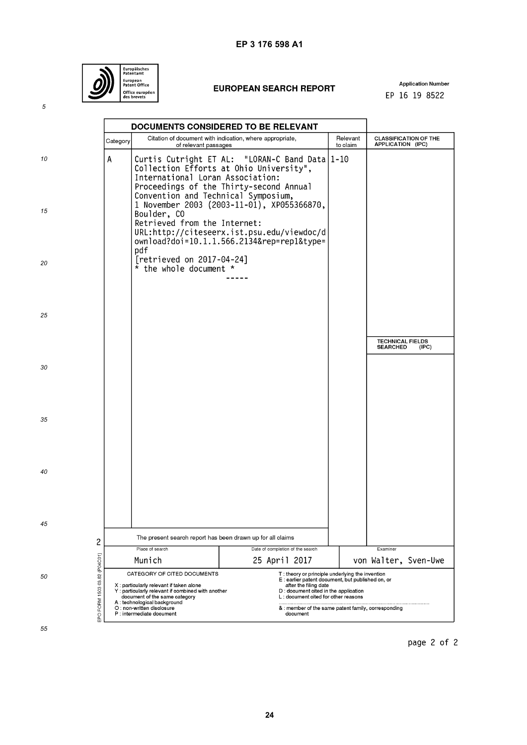

# **EUROPEAN SEARCH REPORT**

**Application Number** EP 16 19 8522

|                                    | DOCUMENTS CONSIDERED TO BE RELEVANT                                                                               |                                                                                                                                                                                                                                                       |                                                                                                                                                                                                                                                                                  |                      |                                                     |
|------------------------------------|-------------------------------------------------------------------------------------------------------------------|-------------------------------------------------------------------------------------------------------------------------------------------------------------------------------------------------------------------------------------------------------|----------------------------------------------------------------------------------------------------------------------------------------------------------------------------------------------------------------------------------------------------------------------------------|----------------------|-----------------------------------------------------|
|                                    | Category                                                                                                          | of relevant passages                                                                                                                                                                                                                                  | Citation of document with indication, where appropriate,                                                                                                                                                                                                                         | Relevant<br>to claim | <b>CLASSIFICATION OF THE</b><br>APPLICATION (IPC)   |
| 10                                 | А                                                                                                                 | International Loran Association:<br>Convention and Technical Symposium,                                                                                                                                                                               | Curtis Cutright ET AL: "LORAN-C Band Data   1-10<br>Collection Efforts at Ohio University",<br>Proceedings of the Thirty-second Annual                                                                                                                                           |                      |                                                     |
| 15                                 |                                                                                                                   | Boulder, CO<br>Retrieved from the Internet:<br>pdf                                                                                                                                                                                                    | 1 November 2003 (2003-11-01), XP055366870,<br>URL:http://citeseerx.ist.psu.edu/viewdoc/d<br>ownload?doi=10.1.1.566.2134&rep=rep1&type=                                                                                                                                           |                      |                                                     |
| 20                                 |                                                                                                                   | [retrieved on 2017-04-24]<br>$*$ the whole document $*$                                                                                                                                                                                               |                                                                                                                                                                                                                                                                                  |                      |                                                     |
| 25                                 |                                                                                                                   |                                                                                                                                                                                                                                                       |                                                                                                                                                                                                                                                                                  |                      |                                                     |
|                                    |                                                                                                                   |                                                                                                                                                                                                                                                       |                                                                                                                                                                                                                                                                                  |                      | <b>TECHNICAL FIELDS</b><br><b>SEARCHED</b><br>(IPC) |
| 30                                 |                                                                                                                   |                                                                                                                                                                                                                                                       |                                                                                                                                                                                                                                                                                  |                      |                                                     |
| 35                                 |                                                                                                                   |                                                                                                                                                                                                                                                       |                                                                                                                                                                                                                                                                                  |                      |                                                     |
| 40                                 |                                                                                                                   |                                                                                                                                                                                                                                                       |                                                                                                                                                                                                                                                                                  |                      |                                                     |
| 45                                 |                                                                                                                   |                                                                                                                                                                                                                                                       |                                                                                                                                                                                                                                                                                  |                      |                                                     |
| 2                                  | The present search report has been drawn up for all claims<br>Place of search<br>Date of completion of the search |                                                                                                                                                                                                                                                       |                                                                                                                                                                                                                                                                                  |                      | Examiner                                            |
|                                    |                                                                                                                   | Munich                                                                                                                                                                                                                                                | 25 April 2017                                                                                                                                                                                                                                                                    |                      | von Walter, Sven-Uwe                                |
| EPO FORM 1503 03.82 (P04C01)<br>50 |                                                                                                                   | CATEGORY OF CITED DOCUMENTS<br>X: particularly relevant if taken alone<br>Y: particularly relevant if combined with another<br>document of the same category<br>A: technological background<br>O : non-written disclosure<br>P: intermediate document | T: theory or principle underlying the invention<br>E : earlier patent document, but published on, or<br>after the filing date<br>D : document cited in the application<br>L: document cited for other reasons<br>& : member of the same patent family, corresponding<br>document |                      |                                                     |
| 55                                 |                                                                                                                   |                                                                                                                                                                                                                                                       |                                                                                                                                                                                                                                                                                  |                      |                                                     |

page 2 of 2